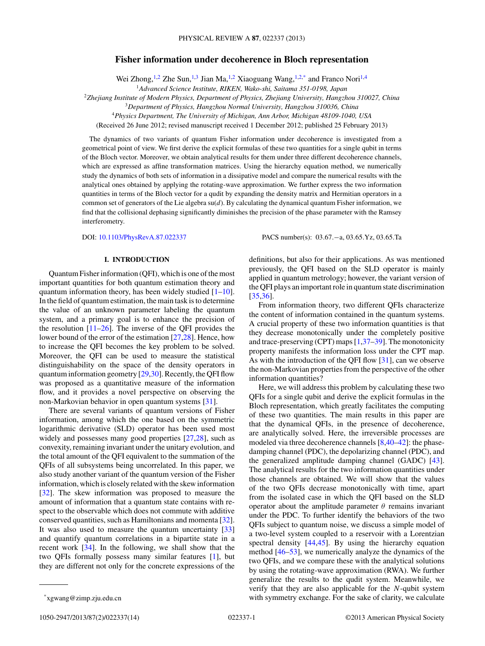# **Fisher information under decoherence in Bloch representation**

Wei Zhong,<sup>1,2</sup> Zhe Sun,<sup>1,3</sup> Jian Ma,<sup>1,2</sup> Xiaoguang Wang,<sup>1,2,\*</sup> and Franco Nori<sup>1,4</sup>

<sup>1</sup>*Advanced Science Institute, RIKEN, Wako-shi, Saitama 351-0198, Japan*

<sup>2</sup>*Zhejiang Institute of Modern Physics, Department of Physics, Zhejiang University, Hangzhou 310027, China*

<sup>3</sup>*Department of Physics, Hangzhou Normal University, Hangzhou 310036, China*

<sup>4</sup>*Physics Department, The University of Michigan, Ann Arbor, Michigan 48109-1040, USA*

(Received 26 June 2012; revised manuscript received 1 December 2012; published 25 February 2013)

The dynamics of two variants of quantum Fisher information under decoherence is investigated from a geometrical point of view. We first derive the explicit formulas of these two quantities for a single qubit in terms of the Bloch vector. Moreover, we obtain analytical results for them under three different decoherence channels, which are expressed as affine transformation matrices. Using the hierarchy equation method, we numerically study the dynamics of both sets of information in a dissipative model and compare the numerical results with the analytical ones obtained by applying the rotating-wave approximation. We further express the two information quantities in terms of the Bloch vector for a qudit by expanding the density matrix and Hermitian operators in a common set of generators of the Lie algebra  $su(d)$ . By calculating the dynamical quantum Fisher information, we find that the collisional dephasing significantly diminishes the precision of the phase parameter with the Ramsey interferometry.

DOI: [10.1103/PhysRevA.87.022337](http://dx.doi.org/10.1103/PhysRevA.87.022337) PACS number(s): 03*.*67*.*−a, 03*.*65*.*Yz, 03*.*65*.*Ta

## **I. INTRODUCTION**

Quantum Fisher information (QFI), which is one of the most important quantities for both quantum estimation theory and quantum information theory, has been widely studied [\[1–10\]](#page-12-0). In the field of quantum estimation, the main task is to determine the value of an unknown parameter labeling the quantum system, and a primary goal is to enhance the precision of the resolution  $[11–26]$ . The inverse of the QFI provides the lower bound of the error of the estimation [\[27,28\]](#page-13-0). Hence, how to increase the QFI becomes the key problem to be solved. Moreover, the QFI can be used to measure the statistical distinguishability on the space of the density operators in quantum information geometry [\[29,30\]](#page-13-0). Recently, the QFI flow was proposed as a quantitative measure of the information flow, and it provides a novel perspective on observing the non-Markovian behavior in open quantum systems [\[31\]](#page-13-0).

There are several variants of quantum versions of Fisher information, among which the one based on the symmetric logarithmic derivative (SLD) operator has been used most widely and possesses many good properties [\[27,28\]](#page-13-0), such as convexity, remaining invariant under the unitary evolution, and the total amount of the QFI equivalent to the summation of the QFIs of all subsystems being uncorrelated. In this paper, we also study another variant of the quantum version of the Fisher information, which is closely related with the skew information [\[32\]](#page-13-0). The skew information was proposed to measure the amount of information that a quantum state contains with respect to the observable which does not commute with additive conserved quantities, such as Hamiltonians and momenta [\[32\]](#page-13-0). It was also used to measure the quantum uncertainty [\[33\]](#page-13-0) and quantify quantum correlations in a bipartite state in a recent work [\[34\]](#page-13-0). In the following, we shall show that the two QFIs formally possess many similar features [\[1\]](#page-12-0), but they are different not only for the concrete expressions of the

definitions, but also for their applications. As was mentioned previously, the QFI based on the SLD operator is mainly applied in quantum metrology; however, the variant version of the QFI plays an important role in quantum state discrimination [\[35,36\]](#page-13-0).

From information theory, two different QFIs characterize the content of information contained in the quantum systems. A crucial property of these two information quantities is that they decrease monotonically under the completely positive and trace-preserving (CPT) maps [\[1,](#page-12-0)[37–39\]](#page-13-0). The monotonicity property manifests the information loss under the CPT map. As with the introduction of the QFI flow [\[31\]](#page-13-0), can we observe the non-Markovian properties from the perspective of the other information quantities?

Here, we will address this problem by calculating these two QFIs for a single qubit and derive the explicit formulas in the Bloch representation, which greatly facilitates the computing of these two quantities. The main results in this paper are that the dynamical QFIs, in the presence of decoherence, are analytically solved. Here, the irreversible processes are modeled via three decoherence channels [\[8,](#page-12-0)[40–42\]](#page-13-0): the phasedamping channel (PDC), the depolarizing channel (PDC), and the generalized amplitude damping channel (GADC) [\[43\]](#page-13-0). The analytical results for the two information quantities under those channels are obtained. We will show that the values of the two QFIs decrease monotonically with time, apart from the isolated case in which the QFI based on the SLD operator about the amplitude parameter  $\theta$  remains invariant under the PDC. To further identify the behaviors of the two QFIs subject to quantum noise, we discuss a simple model of a two-level system coupled to a reservoir with a Lorentzian spectral density [\[44,45\]](#page-13-0). By using the hierarchy equation method [\[46–53\]](#page-13-0), we numerically analyze the dynamics of the two QFIs, and we compare these with the analytical solutions by using the rotating-wave approximation (RWA). We further generalize the results to the qudit system. Meanwhile, we verify that they are also applicable for the *N*-qubit system with symmetry exchange. For the sake of clarity, we calculate

<sup>\*</sup>xgwang@zimp.zju.edu.cn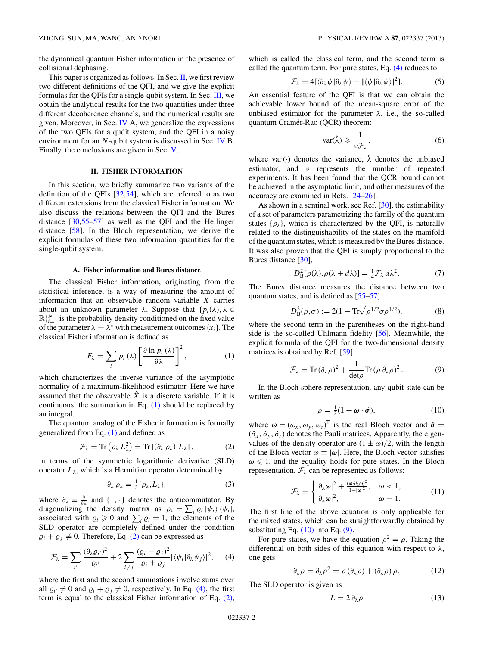<span id="page-1-0"></span>the dynamical quantum Fisher information in the presence of collisional dephasing.

This paper is organized as follows. In Sec. II, we first review two different definitions of the QFI, and we give the explicit formulas for the QFIs for a single-qubit system. In Sec. [III,](#page-3-0) we obtain the analytical results for the two quantities under three different decoherence channels, and the numerical results are given. Moreover, in Sec. [IV](#page-6-0) A, we generalize the expressions of the two QFIs for a qudit system, and the QFI in a noisy environment for an *N*-qubit system is discussed in Sec. [IV](#page-6-0) B. Finally, the conclusions are given in Sec. [V.](#page-9-0)

# **II. FISHER INFORMATION**

In this section, we briefly summarize two variants of the definition of the QFIs [\[32,54\]](#page-13-0), which are referred to as two different extensions from the classical Fisher information. We also discuss the relations between the QFI and the Bures distance [\[30,55–57\]](#page-13-0) as well as the QFI and the Hellinger distance [\[58\]](#page-13-0). In the Bloch representation, we derive the explicit formulas of these two information quantities for the single-qubit system.

# **A. Fisher information and Bures distance**

The classical Fisher information, originating from the statistical inference, is a way of measuring the amount of information that an observable random variable *X* carries about an unknown parameter  $\lambda$ . Suppose that  $\{p_i(\lambda), \lambda \in \Lambda\}$  $\mathbb{R}$ <sub>i</sub> $\bigcup_{i=1}^{N}$  is the probability density conditioned on the fixed value of the parameter  $\lambda = \lambda^*$  with measurement outcomes { $x_i$ }. The classical Fisher information is defined as

$$
F_{\lambda} = \sum_{i} p_{i} (\lambda) \left[ \frac{\partial \ln p_{i} (\lambda)}{\partial \lambda} \right]^{2}, \qquad (1)
$$

which characterizes the inverse variance of the asymptotic normality of a maximum-likelihood estimator. Here we have assumed that the observable  $\ddot{X}$  is a discrete variable. If it is continuous, the summation in Eq.  $(1)$  should be replaced by an integral.

The quantum analog of the Fisher information is formally generalized from Eq. (1) and defined as

$$
\mathcal{F}_{\lambda} = \text{Tr}\left(\rho_{\lambda} L_{\lambda}^{2}\right) = \text{Tr}\left[\left(\partial_{\lambda} \rho_{\lambda}\right) L_{\lambda}\right],\tag{2}
$$

in terms of the symmetric logarithmic derivative (SLD) operator  $L_{\lambda}$ , which is a Hermitian operator determined by

$$
\partial_{\lambda} \rho_{\lambda} = \frac{1}{2} \{ \rho_{\lambda}, L_{\lambda} \}, \tag{3}
$$

where  $\partial_{\lambda} \equiv \frac{\partial}{\partial \lambda}$  and  $\{\cdot, \cdot\}$  denotes the anticommutator. By diagonalizing the density matrix as  $\rho_{\lambda} = \sum_{i} \rho_{i} |\psi_{i}\rangle \langle \psi_{i}|$ , associated with  $\varrho_i \geq 0$  and  $\sum_i \varrho_i = 1$ , the elements of the SLD operator are completely defined under the condition  $\varrho_i + \varrho_j \neq 0$ . Therefore, Eq. (2) can be expressed as

$$
\mathcal{F}_{\lambda} = \sum_{i'} \frac{(\partial_{\lambda} \varrho_{i'})^2}{\varrho_{i'}} + 2 \sum_{i \neq j} \frac{(\varrho_i - \varrho_j)^2}{\varrho_i + \varrho_j} | \langle \psi_i | \partial_{\lambda} \psi_j \rangle |^2, \quad (4)
$$

where the first and the second summations involve sums over all  $\varrho_i \neq 0$  and  $\varrho_i + \varrho_j \neq 0$ , respectively. In Eq. (4), the first term is equal to the classical Fisher information of Eq. (2), which is called the classical term, and the second term is called the quantum term. For pure states, Eq. (4) reduces to

$$
\mathcal{F}_{\lambda} = 4[\langle \partial_{\lambda} \psi | \partial_{\lambda} \psi \rangle - | \langle \psi | \partial_{\lambda} \psi \rangle |^{2}]. \tag{5}
$$

An essential feature of the QFI is that we can obtain the achievable lower bound of the mean-square error of the unbiased estimator for the parameter  $\lambda$ , i.e., the so-called quantum Cramér-Rao (QCR) theorem:

$$
\text{var}(\hat{\lambda}) \geqslant \frac{1}{\nu \mathcal{F}_{\lambda}},\tag{6}
$$

where var (·) denotes the variance,  $\hat{\lambda}$  denotes the unbiased estimator, and *ν* represents the number of repeated experiments. It has been found that the QCR bound cannot be achieved in the asymptotic limit, and other measures of the accuracy are examined in Refs. [\[24–26\]](#page-12-0).

As shown in a seminal work, see Ref. [\[30\]](#page-13-0), the estimability of a set of parameters parametrizing the family of the quantum states  $\{\rho_{\lambda}\}\$ , which is characterized by the QFI, is naturally related to the distinguishability of the states on the manifold of the quantum states, which is measured by the Bures distance. It was also proven that the QFI is simply proportional to the Bures distance [\[30\]](#page-13-0),

$$
D_{\rm B}^2[\rho(\lambda), \rho(\lambda + d\lambda)] = \frac{1}{4} \mathcal{F}_{\lambda} d\lambda^2. \tag{7}
$$

The Bures distance measures the distance between two quantum states, and is defined as [\[55–57\]](#page-13-0)

$$
D_{\rm B}^2(\rho,\sigma) := 2(1 - \text{Tr}\sqrt{\rho^{1/2}\sigma\rho^{1/2}}),\tag{8}
$$

where the second term in the parentheses on the right-hand side is the so-called Uhlmann fidelity [\[56\]](#page-13-0). Meanwhile, the explicit formula of the QFI for the two-dimensional density matrices is obtained by Ref. [\[59\]](#page-13-0)

$$
\mathcal{F}_{\lambda} = \text{Tr}(\partial_{\lambda}\rho)^{2} + \frac{1}{\det\rho} \text{Tr}(\rho \,\partial_{\lambda}\rho)^{2}.
$$
 (9)

In the Bloch sphere representation, any qubit state can be written as

$$
\rho = \frac{1}{2}(1 + \boldsymbol{\omega} \cdot \hat{\boldsymbol{\sigma}}),\tag{10}
$$

where  $\boldsymbol{\omega} = (\omega_x, \omega_y, \omega_z)^T$  is the real Bloch vector and  $\hat{\boldsymbol{\sigma}} =$  $(\hat{\sigma}_x, \hat{\sigma}_y, \hat{\sigma}_z)$  denotes the Pauli matrices. Apparently, the eigenvalues of the density operator are  $(1 \pm \omega)/2$ , with the length of the Bloch vector  $\omega \equiv |\omega|$ . Here, the Bloch vector satisfies  $\omega \leq 1$ , and the equality holds for pure states. In the Bloch representation,  $\mathcal{F}_{\lambda}$  can be represented as follows:

$$
\mathcal{F}_{\lambda} = \begin{cases} |\partial_{\lambda} \omega|^2 + \frac{(\omega \cdot \partial_{\lambda} \omega)^2}{1 - |\omega|^2}, & \omega < 1, \\ |\partial_{\lambda} \omega|^2, & \omega = 1. \end{cases}
$$
(11)

The first line of the above equation is only applicable for the mixed states, which can be straightforwardly obtained by substituting Eq.  $(10)$  into Eq.  $(9)$ .

For pure states, we have the equation  $\rho^2 = \rho$ . Taking the differential on both sides of this equation with respect to *λ*, one gets

$$
\partial_{\lambda}\rho = \partial_{\lambda}\rho^{2} = \rho\left(\partial_{\lambda}\rho\right) + \left(\partial_{\lambda}\rho\right)\rho. \tag{12}
$$

The SLD operator is given as

$$
L = 2 \partial_{\lambda} \rho \tag{13}
$$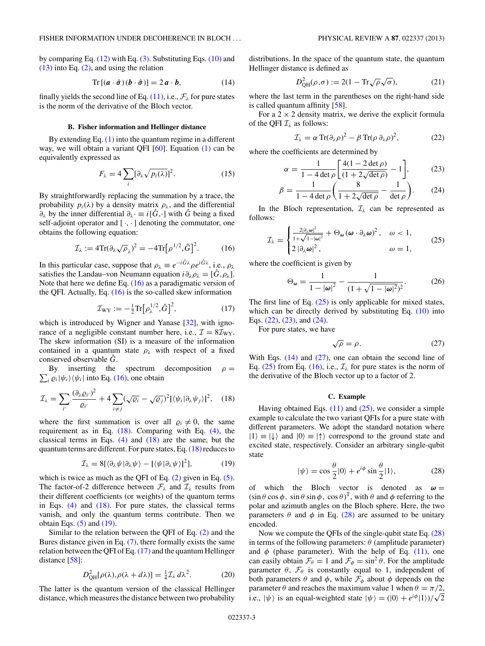<span id="page-2-0"></span>by comparing Eq. [\(12\)](#page-1-0) with Eq. [\(3\).](#page-1-0) Substituting Eqs. [\(10\)](#page-1-0) and [\(13\)](#page-1-0) into Eq. [\(2\),](#page-1-0) and using the relation

$$
Tr [(a \cdot \hat{\sigma}) (b \cdot \hat{\sigma})] = 2 a \cdot b, \qquad (14)
$$

finally yields the second line of Eq. [\(11\),](#page-1-0) i.e.,  $\mathcal{F}_{\lambda}$  for pure states is the norm of the derivative of the Bloch vector.

## **B. Fisher information and Hellinger distance**

By extending Eq.  $(1)$  into the quantum regime in a different way, we will obtain a variant OFI  $[60]$ . Equation  $(1)$  can be equivalently expressed as

$$
F_{\lambda} = 4 \sum_{i} [\partial_{\lambda} \sqrt{p_i(\lambda)}]^2.
$$
 (15)

By straightforwardly replacing the summation by a trace, the probability  $p_i(\lambda)$  by a density matrix  $\rho_\lambda$ , and the differential *∂*<sub>λ</sub> by the inner differential  $∂λ$  = *i*[ $G$ , ·] with  $G$ <sup>∂</sup> being a fixed self-adjoint operator and  $[\cdot, \cdot]$  denoting the commutator, one obtains the following equation:

$$
\mathcal{I}_{\lambda} := 4\text{Tr}(\partial_{\lambda}\sqrt{\rho}_{\lambda})^2 = -4\text{Tr}[\rho^{1/2}, \hat{G}]^2. \quad (16)
$$

In this particular case, suppose that  $\rho_{\lambda} \equiv e^{-i\hat{G}\lambda} \rho e^{i\hat{G}\lambda}$ , i.e.,  $\rho_{\lambda}$ satisfies the Landau–von Neumann equation  $i\partial_\lambda \rho_\lambda = [\hat{G}, \rho_\lambda]$ . Note that here we define Eq.  $(16)$  as a paradigmatic version of the QFI. Actually, Eq. (16) is the so-called skew information

$$
\mathcal{I}_{\text{WY}} := -\frac{1}{2} \text{Tr} \big[ \rho_{\lambda}^{1/2}, \hat{G} \big]^2, \tag{17}
$$

which is introduced by Wigner and Yanase [\[32\]](#page-13-0), with ignorance of a negligible constant number here, i.e.,  $\mathcal{I} = 8\mathcal{I}_{WY}$ . The skew information (SI) is a measure of the information contained in a quantum state  $\rho_{\lambda}$  with respect of a fixed conserved observable  $\hat{G}$ .

 $\sum_i \varrho_i |\psi_i\rangle \langle \psi_i|$  into Eq. (16), one obtain By inserting the spectrum decomposition  $\rho =$ 

$$
\mathcal{I}_{\lambda} = \sum_{i'} \frac{(\partial_{\lambda} \varrho_{i'})^2}{\varrho_{i'}} + 4 \sum_{i \neq j} (\sqrt{\varrho_i} - \sqrt{\varrho_j})^2 |\langle \psi_i | \partial_{\lambda} \psi_j \rangle|^2, \quad (18)
$$

where the first summation is over all  $\rho_i \neq 0$ , the same requirement as in Eq. (18). Comparing with Eq. [\(4\),](#page-1-0) the classical terms in Eqs.  $(4)$  and  $(18)$  are the same, but the quantum terms are different. For pure states, Eq.  $(18)$  reduces to

$$
\mathcal{I}_{\lambda} = 8[\langle \partial_{\lambda} \psi | \partial_{\lambda} \psi \rangle - | \langle \psi | \partial_{\lambda} \psi \rangle |^{2}], \tag{19}
$$

which is twice as much as the QFI of Eq. [\(2\)](#page-1-0) given in Eq. [\(5\).](#page-1-0) The factor-of-2 difference between  $\mathcal{F}_{\lambda}$  and  $\mathcal{I}_{\lambda}$  results from their different coefficients (or weights) of the quantum terms in Eqs. [\(4\)](#page-1-0) and (18). For pure states, the classical terms vanish, and only the quantum terms contribute. Then we obtain Eqs.  $(5)$  and  $(19)$ .

Similar to the relation between the QFI of Eq. [\(2\)](#page-1-0) and the Bures distance given in Eq. [\(7\),](#page-1-0) there formally exists the same relation between the QFI of Eq.  $(17)$  and the quantum Hellinger distance [\[58\]](#page-13-0):

$$
D_{\text{QH}}^2[\rho(\lambda), \rho(\lambda + d\lambda)] = \frac{1}{4} \mathcal{I}_{\lambda} d\lambda^2. \tag{20}
$$

The latter is the quantum version of the classical Hellinger distance, which measures the distance between two probability

distributions. In the space of the quantum state, the quantum Hellinger distance is defined as

$$
D_{\text{QH}}^2(\rho, \sigma) := 2(1 - \text{Tr}\sqrt{\rho}\sqrt{\sigma}), \tag{21}
$$

where the last term in the parentheses on the right-hand side is called quantum affinity [\[58\]](#page-13-0).

For a  $2 \times 2$  density matrix, we derive the explicit formula of the QFI  $\mathcal{I}_{\lambda}$  as follows:

$$
\mathcal{I}_{\lambda} = \alpha \operatorname{Tr}(\partial_{\lambda} \rho)^2 - \beta \operatorname{Tr}(\rho \partial_{\lambda} \rho)^2, \tag{22}
$$

where the coefficients are determined by

$$
\alpha = \frac{1}{1 - 4 \det \rho} \left[ \frac{4(1 - 2 \det \rho)}{(1 + 2 \sqrt{\det \rho})} - 1 \right],
$$
 (23)

$$
\beta = \frac{1}{1 - 4 \det \rho} \left( \frac{8}{1 + 2 \sqrt{\det \rho}} - \frac{1}{\det \rho} \right). \tag{24}
$$

In the Bloch representation,  $\mathcal{I}_{\lambda}$  can be represented as follows:

$$
\mathcal{I}_{\lambda} = \begin{cases}\n\frac{2|\partial_{\lambda}\omega|^{2}}{1 + \sqrt{1 - |\omega|^{2}}} + \Theta_{\omega} (\omega \cdot \partial_{\lambda} \omega)^{2}, & \omega < 1, \\
2|\partial_{\lambda}\omega|^{2}, & \omega = 1,\n\end{cases}
$$
\n(25)

where the coefficient is given by

$$
\Theta_{\omega} = \frac{1}{1 - |\omega|^2} - \frac{1}{(1 + \sqrt{1 - |\omega|^2})^2}.
$$
 (26)

The first line of Eq.  $(25)$  is only applicable for mixed states, which can be directly derived by substituting Eq.  $(10)$  into Eqs. (22), (23), and (24).

For pure states, we have

$$
\sqrt{\rho} = \rho. \tag{27}
$$

With Eqs.  $(14)$  and  $(27)$ , one can obtain the second line of Eq. (25) from Eq. (16), i.e.,  $\mathcal{I}_{\lambda}$  for pure states is the norm of the derivative of the Bloch vector up to a factor of 2.

## **C. Example**

Having obtained Eqs.  $(11)$  and  $(25)$ , we consider a simple example to calculate the two variant QFIs for a pure state with different parameters. We adopt the standard notation where  $|1\rangle \equiv |\downarrow\rangle$  and  $|0\rangle \equiv |\uparrow\rangle$  correspond to the ground state and excited state, respectively. Consider an arbitrary single-qubit state

$$
|\psi\rangle = \cos\frac{\theta}{2}|0\rangle + e^{i\phi}\sin\frac{\theta}{2}|1\rangle, \tag{28}
$$

of which the Bloch vector is denoted as  $\omega =$  $(\sin \theta \cos \phi, \sin \theta \sin \phi, \cos \theta)^T$ , with  $\theta$  and  $\phi$  referring to the polar and azimuth angles on the Bloch sphere. Here, the two parameters  $\theta$  and  $\phi$  in Eq. (28) are assumed to be unitary encoded.

Now we compute the QFIs of the single-qubit state Eq. (28) in terms of the following parameters:  $\theta$  (amplitude parameter) and  $\phi$  (phase parameter). With the help of Eq. [\(11\),](#page-1-0) one can easily obtain  $\mathcal{F}_{\theta} = 1$  and  $\mathcal{F}_{\phi} = \sin^2 \theta$ . For the amplitude parameter  $\theta$ ,  $\mathcal{F}_{\theta}$  is constantly equal to 1, independent of both parameters  $\theta$  and  $\phi$ , while  $\mathcal{F}_{\phi}$  about  $\phi$  depends on the parameter  $\theta$  and reaches the maximum value 1 when  $\theta = \pi/2$ , parameter  $\theta$  and reaches the maximum value 1 when  $\theta = \pi/2$ ,<br>i.e.,  $|\psi\rangle$  is an equal-weighted state  $|\psi\rangle = (|0\rangle + e^{i\phi}|1\rangle)/\sqrt{2}$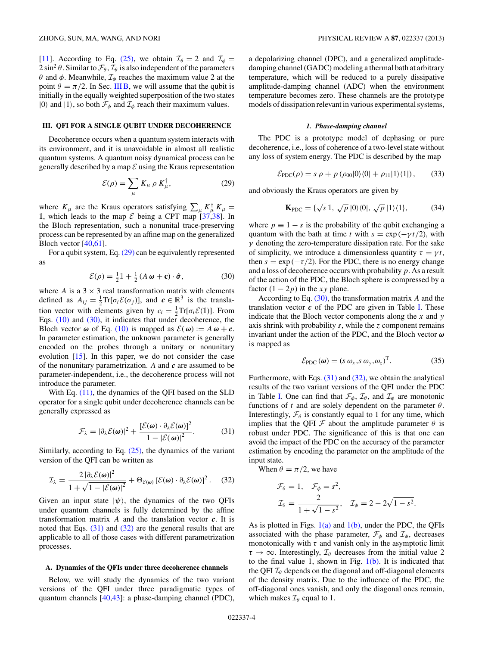<span id="page-3-0"></span>[\[11\]](#page-12-0). According to Eq. [\(25\),](#page-2-0) we obtain  $\mathcal{I}_{\theta} = 2$  and  $\mathcal{I}_{\phi} =$  $2 \sin^2 \theta$ . Similar to  $\mathcal{F}_{\theta}$ ,  $\mathcal{I}_{\theta}$  is also independent of the parameters *θ* and *φ*. Meanwhile,  $\mathcal{I}_{\phi}$  reaches the maximum value 2 at the point  $\theta = \pi/2$ . In Sec. [III B,](#page-5-0) we will assume that the qubit is initially in the equally weighted superposition of the two states  $|0\rangle$  and  $|1\rangle$ , so both  $\mathcal{F}_{\phi}$  and  $\mathcal{I}_{\phi}$  reach their maximum values.

### **III. QFI FOR A SINGLE QUBIT UNDER DECOHERENCE**

Decoherence occurs when a quantum system interacts with its environment, and it is unavoidable in almost all realistic quantum systems. A quantum noisy dynamical process can be generally described by a map  $\mathcal E$  using the Kraus representation

$$
\mathcal{E}(\rho) = \sum_{\mu} K_{\mu} \rho K_{\mu}^{\dagger}, \qquad (29)
$$

where  $K_{\mu}$  are the Kraus operators satisfying  $\sum_{\mu} K_{\mu}^{\dagger} K_{\mu} =$ 1, which leads to the map  $\mathcal E$  being a CPT map [\[37,38\]](#page-13-0). In the Bloch representation, such a nonunital trace-preserving process can be represented by an affine map on the generalized Bloch vector [\[40,61\]](#page-13-0).

For a qubit system, Eq. (29) can be equivalently represented as

$$
\mathcal{E}(\rho) = \frac{1}{2}\mathbb{1} + \frac{1}{2}(A\,\boldsymbol{\omega} + \mathbf{c}) \cdot \hat{\boldsymbol{\sigma}},\tag{30}
$$

where *A* is a  $3 \times 3$  real transformation matrix with elements defined as  $A_{ij} = \frac{1}{2} \text{Tr}[\sigma_i \mathcal{E}(\sigma_j)]$ , and  $c \in \mathbb{R}^3$  is the translation vector with elements given by  $c_i = \frac{1}{2} \text{Tr}[\sigma_i \mathcal{E}(\mathbb{1})]$ . From Eqs. [\(10\)](#page-1-0) and (30), it indicates that under decoherence, the Bloch vector  $\omega$  of Eq. [\(10\)](#page-1-0) is mapped as  $\mathcal{E}(\omega) := A \omega + c$ . In parameter estimation, the unknown parameter is generally encoded on the probes through a unitary or nonunitary evolution [\[15\]](#page-12-0). In this paper, we do not consider the case of the nonunitary parametrization. *A* and *c* are assumed to be parameter-independent, i.e., the decoherence process will not introduce the parameter.

With Eq. [\(11\),](#page-1-0) the dynamics of the QFI based on the SLD operator for a single qubit under decoherence channels can be generally expressed as

$$
\mathcal{F}_{\lambda} = |\partial_{\lambda} \mathcal{E}(\boldsymbol{\omega})|^2 + \frac{[\mathcal{E}(\boldsymbol{\omega}) \cdot \partial_{\lambda} \mathcal{E}(\boldsymbol{\omega})]^2}{1 - |\mathcal{E}(\boldsymbol{\omega})|^2}.
$$
 (31)

Similarly, according to Eq. [\(25\),](#page-2-0) the dynamics of the variant version of the QFI can be written as

$$
\mathcal{I}_{\lambda} = \frac{2 |\partial_{\lambda} \mathcal{E}(\boldsymbol{\omega})|^2}{1 + \sqrt{1 - |\mathcal{E}(\boldsymbol{\omega})|^2}} + \Theta_{\mathcal{E}(\boldsymbol{\omega})} [\mathcal{E}(\boldsymbol{\omega}) \cdot \partial_{\lambda} \mathcal{E}(\boldsymbol{\omega})]^2. \tag{32}
$$

Given an input state  $|\psi\rangle$ , the dynamics of the two QFIs under quantum channels is fully determined by the affine transformation matrix *A* and the translation vector *c*. It is noted that Eqs. (31) and (32) are the general results that are applicable to all of those cases with different parametrization processes.

### **A. Dynamics of the QFIs under three decoherence channels**

Below, we will study the dynamics of the two variant versions of the QFI under three paradigmatic types of quantum channels [\[40,43\]](#page-13-0): a phase-damping channel (PDC),

a depolarizing channel (DPC), and a generalized amplitudedamping channel (GADC) modeling a thermal bath at arbitrary temperature, which will be reduced to a purely dissipative amplitude-damping channel (ADC) when the environment temperature becomes zero. These channels are the prototype models of dissipation relevant in various experimental systems,

#### *1. Phase-damping channel*

The PDC is a prototype model of dephasing or pure decoherence, i.e., loss of coherence of a two-level state without any loss of system energy. The PDC is described by the map

$$
\mathcal{E}_{\text{PDC}}(\rho) = s \rho + p \left( \rho_{00} |0\rangle\langle0| + \rho_{11} |1\rangle\langle1| \right), \tag{33}
$$

and obviously the Kraus operators are given by

$$
\mathbf{K}_{\text{PDC}} = \{ \sqrt{s} \, \mathbb{1}, \sqrt{p} \, |0\rangle\langle 0|, \sqrt{p} \, |1\rangle\langle 1 \},\tag{34}
$$

where  $p \equiv 1 - s$  is the probability of the qubit exchanging a quantum with the bath at time *t* with  $s = \exp(-\gamma t/2)$ , with *γ* denoting the zero-temperature dissipation rate. For the sake of simplicity, we introduce a dimensionless quantity  $\tau = \gamma t$ , then  $s = \exp(-\tau/2)$ . For the PDC, there is no energy change and a loss of decoherence occurs with probability *p*. As a result of the action of the PDC, the Bloch sphere is compressed by a factor  $(1 - 2p)$  in the *xy* plane.

According to Eq. (30), the transformation matrix *A* and the translation vector  $c$  of the PDC are given in Table [I.](#page-4-0) These indicate that the Bloch vector components along the *x* and *y* axis shrink with probability *s*, while the *z* component remains invariant under the action of the PDC, and the Bloch vector *ω* is mapped as

$$
\mathcal{E}_{PDC}(\boldsymbol{\omega}) = (s \omega_x, s \omega_y, \omega_z)^T. \tag{35}
$$

Furthermore, with Eqs. (31) and (32), we obtain the analytical results of the two variant versions of the QFI under the PDC in Table [I.](#page-4-0) One can find that  $\mathcal{F}_{\phi}$ ,  $\mathcal{I}_{\theta}$ , and  $\mathcal{I}_{\phi}$  are monotonic functions of *t* and are solely dependent on the parameter *θ*. Interestingly,  $\mathcal{F}_{\theta}$  is constantly equal to 1 for any time, which implies that the QFI  $\mathcal F$  about the amplitude parameter  $\theta$  is robust under PDC. The significance of this is that one can avoid the impact of the PDC on the accuracy of the parameter estimation by encoding the parameter on the amplitude of the input state.

When  $\theta = \pi/2$ , we have

$$
\mathcal{F}_{\theta} = 1, \quad \mathcal{F}_{\phi} = s^2,
$$
  
\n $\mathcal{I}_{\theta} = \frac{2}{1 + \sqrt{1 - s^2}}, \quad \mathcal{I}_{\phi} = 2 - 2\sqrt{1 - s^2}.$ 

As is plotted in Figs.  $1(a)$  and  $1(b)$ , under the PDC, the QFIs associated with the phase parameter,  $\mathcal{F}_{\phi}$  and  $\mathcal{I}_{\phi}$ , decreases monotonically with  $\tau$  and vanish only in the asymptotic limit  $\tau \to \infty$ . Interestingly,  $\mathcal{I}_{\theta}$  decreases from the initial value 2 to the final value 1, shown in Fig.  $1(b)$ . It is indicated that the QFI  $\mathcal{I}_{\theta}$  depends on the diagonal and off-diagonal elements of the density matrix. Due to the influence of the PDC, the off-diagonal ones vanish, and only the diagonal ones remain, which makes  $\mathcal{I}_{\theta}$  equal to 1.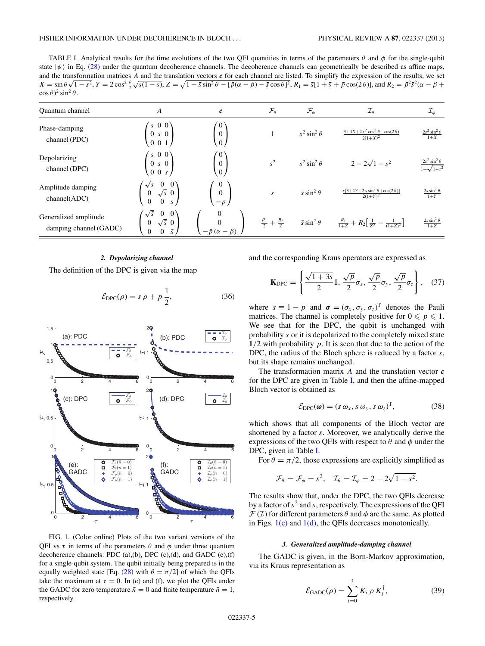<span id="page-4-0"></span>TABLE I. Analytical results for the time evolutions of the two QFI quantities in terms of the parameters *θ* and *φ* for the single-qubit state  $|\psi\rangle$  in Eq. [\(28\)](#page-2-0) under the quantum decoherence channels. The decoherence channels can geometrically be described as affine maps, and the transformation matrices *A* and the translation vectors *c* for each channel are listed. To simplify the expression of the results, we set and the transformation matrices A and the translation vectors **c** for each channel are listed. To simplify the expression of the results, we set  $X = \sin \theta \sqrt{1 - s^2}$ ,  $Y = 2 \cos^2 \frac{\theta}{2} \sqrt{s(1 - s)}$ ,  $Z = \sqrt{1 - \bar{s} \sin^2 \theta - [\bar{p}(\alpha - \beta)$  $\cos \theta$ <sup>2</sup>  $\sin^2 \theta$ .

| <b>Ouantum</b> channel                          | A                                                                                                         | $\boldsymbol{c}$                             | $\mathcal{F}_{\theta}$          | $\mathcal{F}_{\phi}$                | $\mathcal{I}_{\theta}$                                            | $\mathcal{I}_{\phi}$                      |
|-------------------------------------------------|-----------------------------------------------------------------------------------------------------------|----------------------------------------------|---------------------------------|-------------------------------------|-------------------------------------------------------------------|-------------------------------------------|
| Phase-damping<br>channel (PDC)                  | $s\,0\,0$<br>0 s 0<br>$0 \t0 \t1$                                                                         | 0<br>$\overline{0}$<br>$\boldsymbol{0}$      |                                 | $s^2 \sin^2 \theta$                 | $3+4X+2s^2\cos^2\theta-\cos(2\theta)$<br>$2(1+X)^2$               | $2s^2 \sin^2 \theta$<br>$1+X$             |
| Depolarizing<br>channel (DPC)                   | $s \ 0 \ 0$<br>0 s 0<br>00s                                                                               | $\Omega$<br>$\overline{0}$<br>$\overline{0}$ | $s^2$                           | $s^2 \sin^2 \theta$                 | $2 - 2\sqrt{1 - s^2}$                                             | $\frac{2s^2\sin^2\theta}{1+\sqrt{1-s^2}}$ |
| Amplitude damping<br>channel(ADC)               | $0 \quad 0$<br>$\sqrt{s}$<br>$\sqrt{s}$ 0<br>$\theta$<br>$\Omega$<br>$\overline{0}$<br>S                  | 0<br>$\Omega$<br>$-p$                        | S                               | s sin <sup>2</sup> $\theta$         | $s[3+4Y+2s \sin^2\theta + \cos(2\theta)]$<br>$2(1+Y)^2$           | $\frac{2s\sin^2\theta}{1+Y}$              |
| Generalized amplitude<br>damping channel (GADC) | $\sqrt{\bar{s}}$<br>$0\quad0$<br>$\sqrt{\overline{s}}$ 0<br>$\Omega$<br>$\Omega$<br>$\bar{s}$<br>$\Omega$ | 0<br>$\Omega$<br>$-\bar{p}(\alpha-\beta)$    | $\frac{R_1}{2} + \frac{R_2}{7}$ | $\bar{s}$ sin <sup>2</sup> $\theta$ | $\frac{R_1}{1+Z}+R_2\left[\frac{1}{Z^2}-\frac{1}{(1+Z)^2}\right]$ | $\frac{2\bar{s}\sin^2\theta}{1+Z}$        |

## *2. Depolarizing channel*

The definition of the DPC is given via the map

$$
\mathcal{E}_{\text{DPC}}(\rho) = s \rho + p \frac{1}{2},\tag{36}
$$



FIG. 1. (Color online) Plots of the two variant versions of the QFI vs  $\tau$  in terms of the parameters  $\theta$  and  $\phi$  under three quantum decoherence channels: PDC (a),(b), DPC (c),(d), and GADC (e),(f) for a single-qubit system. The qubit initially being prepared is in the equally weighted state [Eq. [\(28\)](#page-2-0) with  $\theta = \pi/2$ ] of which the QFIs take the maximum at  $\tau = 0$ . In (e) and (f), we plot the QFIs under the GADC for zero temperature  $\bar{n} = 0$  and finite temperature  $\bar{n} = 1$ , respectively.

and the corresponding Kraus operators are expressed as

$$
\mathbf{K}_{\text{DPC}} = \left\{ \frac{\sqrt{1+3s}}{2} \mathbb{1}, \frac{\sqrt{p}}{2} \sigma_x, \frac{\sqrt{p}}{2} \sigma_y, \frac{\sqrt{p}}{2} \sigma_z \right\}, \quad (37)
$$

where  $s \equiv 1 - p$  and  $\sigma = (\sigma_x, \sigma_y, \sigma_z)^T$  denotes the Pauli matrices. The channel is completely positive for  $0 \leq p \leq 1$ . We see that for the DPC, the qubit is unchanged with probability *s* or it is depolarized to the completely mixed state  $1/2$  with probability  $p$ . It is seen that due to the action of the DPC, the radius of the Bloch sphere is reduced by a factor *s*, but its shape remains unchanged.

The transformation matrix *A* and the translation vector *c* for the DPC are given in Table I, and then the affine-mapped Bloch vector is obtained as

$$
\mathcal{E}_{\text{DPC}}(\boldsymbol{\omega}) = (s \omega_x, s \omega_y, s \omega_z)^{\text{T}}, \tag{38}
$$

which shows that all components of the Bloch vector are shortened by a factor *s*. Moreover, we analytically derive the expressions of the two QFIs with respect to  $\theta$  and  $\phi$  under the DPC, given in Table I.

For  $\theta = \pi/2$ , those expressions are explicitly simplified as

$$
\mathcal{F}_{\theta} = \mathcal{F}_{\phi} = s^2, \quad \mathcal{I}_{\theta} = \mathcal{I}_{\phi} = 2 - 2\sqrt{1 - s^2}.
$$

The results show that, under the DPC, the two QFIs decrease by a factor of*s*<sup>2</sup> and *s*, respectively. The expressions of the QFI  $\mathcal{F}(\mathcal{I})$  for different parameters  $\theta$  and  $\phi$  are the same. As plotted in Figs.  $1(c)$  and  $1(d)$ , the QFIs decreases monotonically.

#### *3. Generalized amplitude-damping channel*

The GADC is given, in the Born-Markov approximation, via its Kraus representation as

$$
\mathcal{E}_{\text{GADC}}(\rho) = \sum_{i=0}^{3} K_i \rho K_i^{\dagger}, \qquad (39)
$$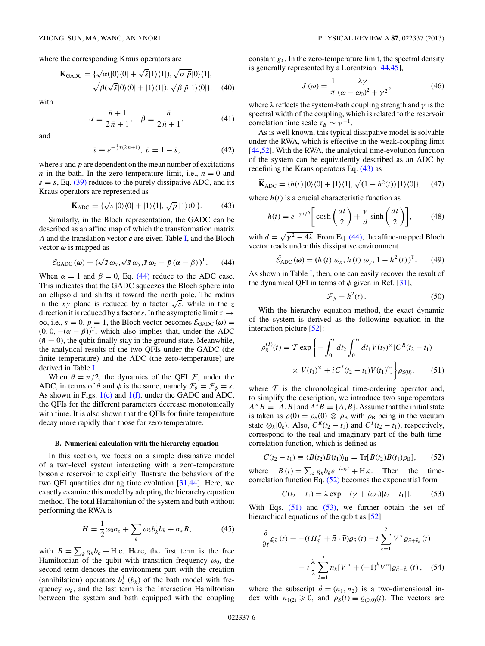<span id="page-5-0"></span>where the corresponding Kraus operators are

$$
\mathbf{K}_{\text{GADC}} = \{ \sqrt{\alpha} (|0\rangle \langle 0| + \sqrt{\bar{s}} |1\rangle \langle 1|), \sqrt{\alpha} \bar{p} |0\rangle \langle 1|, \\ \sqrt{\beta} (\sqrt{\bar{s}} |0\rangle \langle 0| + |1\rangle \langle 1|), \sqrt{\beta} \bar{p} |1\rangle \langle 0| \}, \quad (40)
$$

with

$$
\alpha \equiv \frac{\bar{n} + 1}{2\bar{n} + 1}, \quad \beta \equiv \frac{\bar{n}}{2\bar{n} + 1}, \tag{41}
$$

and

$$
\bar{s} \equiv e^{-\frac{1}{2}\tau(2\bar{n}+1)}, \ \bar{p} = 1 - \bar{s}, \tag{42}
$$

where  $\bar{s}$  and  $\bar{p}$  are dependent on the mean number of excitations  $\bar{n}$  in the bath. In the zero-temperature limit, i.e.,  $\bar{n} = 0$  and  $\bar{s} = s$ , Eq. [\(39\)](#page-4-0) reduces to the purely dissipative ADC, and its Kraus operators are represented as

$$
\mathbf{K}_{\text{ADC}} = \{\sqrt{s} \, |0\rangle\langle 0| + |1\rangle\langle 1|, \sqrt{p} \, |1\rangle\langle 0|\}. \tag{43}
$$

Similarly, in the Bloch representation, the GADC can be described as an affine map of which the transformation matrix *A* and the translation vector *c* are given Table [I,](#page-4-0) and the Bloch vector *ω* is mapped as

$$
\mathcal{E}_{\text{GADC}}\left(\boldsymbol{\omega}\right) = \left(\sqrt{\bar{s}}\,\omega_x,\sqrt{\bar{s}}\,\omega_y,\bar{s}\,\omega_z - \bar{p}\,\left(\alpha - \beta\right)\right)^{\text{T}}.\tag{44}
$$

When  $\alpha = 1$  and  $\beta = 0$ , Eq. (44) reduce to the ADC case. This indicates that the GADC squeezes the Bloch sphere into an ellipsoid and shifts it toward the north pole. The radius in the *xy* plane is reduced by a factor  $\sqrt{s}$ , while in the *z* direction it is reduced by a factor*s*. In the asymptotic limit *τ* →  $\infty$ , i.e.,  $s = 0$ ,  $p = 1$ , the Bloch vector becomes  $\mathcal{E}_{\text{GADC}}(\omega) =$  $(0, 0, -(\alpha - \beta))^T$ , which also implies that, under the ADC  $(\bar{n} = 0)$ , the qubit finally stay in the ground state. Meanwhile, the analytical results of the two QFIs under the GADC (the finite temperature) and the ADC (the zero-temperature) are derived in Table [I.](#page-4-0)

When  $\theta = \pi/2$ , the dynamics of the QFI F, under the ADC, in terms of  $\theta$  and  $\phi$  is the same, namely  $\mathcal{F}_{\theta} = \mathcal{F}_{\phi} = s$ . As shown in Figs.  $1(e)$  and  $1(f)$ , under the GADC and ADC, the QFIs for the different parameters decrease monotonically with time. It is also shown that the QFIs for finite temperature decay more rapidly than those for zero temperature.

#### **B. Numerical calculation with the hierarchy equation**

In this section, we focus on a simple dissipative model of a two-level system interacting with a zero-temperature bosonic reservoir to explicitly illustrate the behaviors of the two QFI quantities during time evolution  $[31,44]$ . Here, we exactly examine this model by adopting the hierarchy equation method. The total Hamiltonian of the system and bath without performing the RWA is

$$
H = \frac{1}{2}\omega_0 \sigma_z + \sum_k \omega_k b_k^{\dagger} b_k + \sigma_x B, \qquad (45)
$$

with  $B = \sum_k g_k b_k + \text{H.c.}$  Here, the first term is the free Hamiltonian of the qubit with transition frequency  $\omega_0$ , the second term denotes the environment part with the creation (annihilation) operators  $b_k^{\dagger}$  ( $b_k$ ) of the bath model with frequency  $\omega_k$ , and the last term is the interaction Hamiltonian between the system and bath equipped with the coupling

constant  $g_k$ . In the zero-temperature limit, the spectral density is generally represented by a Lorentzian [\[44,45\]](#page-13-0),

$$
J(\omega) = \frac{1}{\pi} \frac{\lambda \gamma}{(\omega - \omega_0)^2 + \gamma^2},\tag{46}
$$

where  $\lambda$  reflects the system-bath coupling strength and  $\gamma$  is the spectral width of the coupling, which is related to the reservoir correlation time scale  $\tau_B \sim \gamma^{-1}$ .

As is well known, this typical dissipative model is solvable under the RWA, which is effective in the weak-coupling limit [\[44,52\]](#page-13-0). With the RWA, the analytical time-evolution function of the system can be equivalently described as an ADC by redefining the Kraus operators Eq. (43) as

$$
\widetilde{\mathbf{K}}_{\text{ADC}} = \{h(t) \, |0\rangle\langle 0| + |1\rangle\langle 1|, \sqrt{(1 - h^2(t))} \, |1\rangle\langle 0|\},\tag{47}
$$

where  $h(t)$  is a crucial characteristic function as

$$
h(t) = e^{-\gamma t/2} \left[ \cosh\left(\frac{dt}{2}\right) + \frac{\gamma}{d} \sinh\left(\frac{dt}{2}\right) \right],\tag{48}
$$

with  $d = \sqrt{\gamma^2 - 4\lambda}$ . From Eq. (44), the affine-mapped Bloch vector reads under this dissipative environment

$$
\widetilde{\mathcal{E}}_{\text{ADC}}\left(\boldsymbol{\omega}\right) = \left(h\left(t\right)\,\omega_x,h\left(t\right)\,\omega_y,1-h^2\left(t\right)\right)^{\text{T}}.\tag{49}
$$

As shown in Table [I,](#page-4-0) then, one can easily recover the result of the dynamical QFI in terms of  $\phi$  given in Ref. [\[31\]](#page-13-0),

$$
\mathcal{F}_{\phi} = h^2(t). \tag{50}
$$

With the hierarchy equation method, the exact dynamic of the system is derived as the following equation in the interaction picture [\[52\]](#page-13-0):

$$
\rho_{\rm S}^{(I)}(t) = \mathcal{T} \exp \left\{-\int_0^t dt_2 \int_0^{t_2} dt_1 V(t_2)^{\times} [C^R(t_2 - t_1) \times V(t_1)^{\times} + i C^I(t_2 - t_1)V(t_1)^{\circ}] \right\} \rho_{\rm S(0)}, \qquad (51)
$$

where  $T$  is the chronological time-ordering operator and, to simplify the description, we introduce two superoperators  $A^{\times}B \equiv [A, B]$  and  $A^{\circ}B \equiv \{A, B\}$ . Assume that the initial state is taken as  $\rho(0) = \rho_S(0) \otimes \rho_B$  with  $\rho_B$  being in the vacuum state  $\otimes_k |0_k\rangle$ . Also,  $C^R(t_2 - t_1)$  and  $C^I(t_2 - t_1)$ , respectively, correspond to the real and imaginary part of the bath timecorrelation function, which is defined as

$$
C(t_2 - t_1) \equiv \langle B(t_2)B(t_1) \rangle_B = \text{Tr}[B(t_2)B(t_1)\rho_B], \qquad (52)
$$

where  $B(t) = \sum_k g_k b_k e^{-i\omega_k t} + \text{H.c.}$  Then the timecorrelation function Eq. (52) becomes the exponential form

$$
C(t_2 - t_1) = \lambda \exp[-(\gamma + i\omega_0)|t_2 - t_1|].
$$
 (53)

With Eqs.  $(51)$  and  $(53)$ , we further obtain the set of hierarchical equations of the qubit as [\[52\]](#page-13-0)

$$
\frac{\partial}{\partial t}\varrho_{\vec{n}}(t) = -(iH_S^\times + \vec{n}\cdot\vec{v})\varrho_{\vec{n}}(t) - i\sum_{k=1}^2 V^\times \varrho_{\vec{n}+\vec{e}_k}(t)
$$

$$
- i\frac{\lambda}{2}\sum_{k=1}^2 n_k[V^\times + (-1)^k V^\circ]\varrho_{\vec{n}-\vec{e}_k}(t), \quad (54)
$$

where the subscript  $\vec{n} = (n_1, n_2)$  is a two-dimensional index with  $n_{1(2)} \ge 0$ , and  $\rho_S(t) \equiv \rho_{(0,0)}(t)$ . The vectors are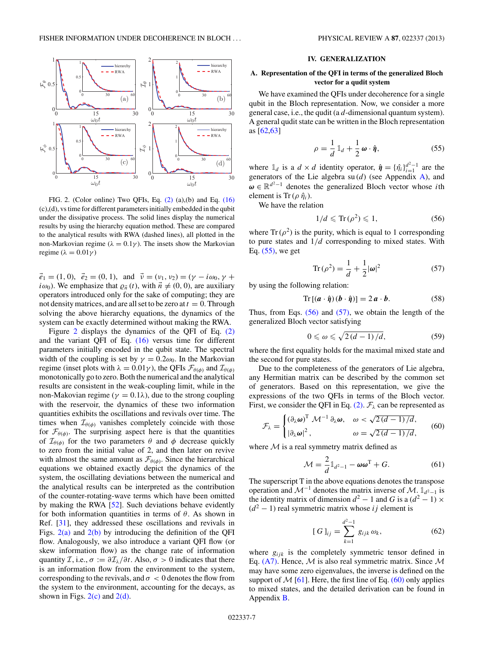<span id="page-6-0"></span>

FIG. 2. (Color online) Two QFIs, Eq. [\(2\)](#page-1-0) (a),(b) and Eq. [\(16\)](#page-2-0) (c),(d), vs time for different parameters initially embedded in the qubit under the dissipative process. The solid lines display the numerical results by using the hierarchy equation method. These are compared to the analytical results with RWA (dashed lines), all plotted in the non-Markovian regime ( $\lambda = 0.1\gamma$ ). The insets show the Markovian regime ( $λ = 0.01γ$ )

 $\vec{e}_1 = (1, 0), \ \vec{e}_2 = (0, 1), \text{ and } \ \vec{v} = (v_1, v_2) = (\gamma - i\omega_0, \gamma + i\omega_0)$  $i\omega_0$ ). We emphasize that  $\varrho_{\vec{n}}(t)$ , with  $\vec{n} \neq (0, 0)$ , are auxiliary operators introduced only for the sake of computing; they are not density matrices, and are all set to be zero at  $t = 0$ . Through solving the above hierarchy equations, the dynamics of the system can be exactly determined without making the RWA.

Figure 2 displays the dynamics of the QFI of Eq. [\(2\)](#page-1-0) and the variant QFI of Eq. [\(16\)](#page-2-0) versus time for different parameters initially encoded in the qubit state. The spectral width of the coupling is set by  $\gamma = 0.2\omega_0$ . In the Markovian regime (inset plots with  $\lambda = 0.01\gamma$ ), the QFIs  $\mathcal{F}_{\theta(\phi)}$  and  $\mathcal{I}_{\theta(\phi)}$ monotonically go to zero. Both the numerical and the analytical results are consistent in the weak-coupling limit, while in the non-Makovian regime ( $\gamma = 0.1\lambda$ ), due to the strong coupling with the reservoir, the dynamics of these two information quantities exhibits the oscillations and revivals over time. The times when  $\mathcal{I}_{\theta(\phi)}$  vanishes completely coincide with those for  $\mathcal{F}_{\theta(\phi)}$ . The surprising aspect here is that the quantities of  $\mathcal{I}_{\theta(\phi)}$  for the two parameters  $\theta$  and  $\phi$  decrease quickly to zero from the initial value of 2, and then later on revive with almost the same amount as  $\mathcal{F}_{\theta(\phi)}$ . Since the hierarchical equations we obtained exactly depict the dynamics of the system, the oscillating deviations between the numerical and the analytical results can be interpreted as the contribution of the counter-rotating-wave terms which have been omitted by making the RWA [\[52\]](#page-13-0). Such deviations behave evidently for both information quantities in terms of *θ*. As shown in Ref. [\[31\]](#page-13-0), they addressed these oscillations and revivals in Figs.  $2(a)$  and  $2(b)$  by introducing the definition of the QFI flow. Analogously, we also introduce a variant QFI flow (or skew information flow) as the change rate of information quantity *I*, i.e.,  $\sigma := \partial \mathcal{I}_\lambda / \partial t$ . Also,  $\sigma > 0$  indicates that there is an information flow from the environment to the system, corresponding to the revivals, and  $\sigma < 0$  denotes the flow from the system to the environment, accounting for the decays, as shown in Figs.  $2(c)$  and  $2(d)$ .

### **IV. GENERALIZATION**

## **A. Representation of the QFI in terms of the generalized Bloch vector for a qudit system**

We have examined the QFIs under decoherence for a single qubit in the Bloch representation. Now, we consider a more general case, i.e., the qudit (a *d*-dimensional quantum system). A general qudit state can be written in the Bloch representation as [\[62,63\]](#page-13-0)

$$
\rho = \frac{1}{d} \mathbb{1}_d + \frac{1}{2} \boldsymbol{\omega} \cdot \hat{\boldsymbol{\eta}},\tag{55}
$$

where  $\mathbb{1}_d$  is a  $d \times d$  identity operator,  $\hat{\eta} = {\hat{\eta}_i} \big|_{i=1}^{d^2-1}$  are the generators of the Lie algebra su (*d*) (see Appendix [A\)](#page-10-0), and  $ω ∈ ℝ<sup>d²-1</sup>$  denotes the generalized Bloch vector whose *i*th element is Tr  $(\rho \hat{\eta}_i)$ .

We have the relation

$$
1/d \leqslant \text{Tr}\left(\rho^2\right) \leqslant 1,\tag{56}
$$

where  $Tr(\rho^2)$  is the purity, which is equal to 1 corresponding to pure states and 1*/d* corresponding to mixed states. With Eq. (55), we get

$$
Tr(\rho^2) = \frac{1}{d} + \frac{1}{2} |\omega|^2
$$
 (57)

by using the following relation:

$$
Tr [(a \cdot \hat{\eta}) (b \cdot \hat{\eta})] = 2 a \cdot b. \tag{58}
$$

Thus, from Eqs.  $(56)$  and  $(57)$ , we obtain the length of the generalized Bloch vector satisfying

$$
0 \leqslant \omega \leqslant \sqrt{2(d-1)/d},\tag{59}
$$

where the first equality holds for the maximal mixed state and the second for pure states.

Due to the completeness of the generators of Lie algebra, any Hermitian matrix can be described by the common set of generators. Based on this representation, we give the expressions of the two QFIs in terms of the Bloch vector. First, we consider the QFI in Eq. [\(2\).](#page-1-0)  $\mathcal{F}_{\lambda}$  can be represented as

$$
\mathcal{F}_{\lambda} = \begin{cases} (\partial_{\lambda} \omega)^{\mathrm{T}} \ \mathcal{M}^{-1} \ \partial_{\lambda} \omega, & \omega < \sqrt{2(d-1)/d}, \\ |\partial_{\lambda} \omega|^{2}, & \omega = \sqrt{2(d-1)/d}, \end{cases} \tag{60}
$$

where  $M$  is a real symmetry matrix defined as

$$
\mathcal{M} = \frac{2}{d} \mathbb{1}_{d^2 - 1} - \omega \omega^{\mathrm{T}} + G. \tag{61}
$$

The superscript T in the above equations denotes the transpose operation and <sup>M</sup><sup>−</sup><sup>1</sup> denotes the matrix inverse of <sup>M</sup>. <sup>1</sup>*d*2−<sup>1</sup> is the identity matrix of dimension  $d^2 - 1$  and *G* is a  $(d^2 - 1) \times$  $(d<sup>2</sup> - 1)$  real symmetric matrix whose *ij* element is

$$
[G]_{ij} = \sum_{k=1}^{d^2-1} g_{ijk} \,\omega_k,\tag{62}
$$

where *gijk* is the completely symmetric tensor defined in Eq.  $(A7)$ . Hence, M is also real symmetric matrix. Since M may have some zero eigenvalues, the inverse is defined on the support of  $M$  [\[61\]](#page-13-0). Here, the first line of Eq. (60) only applies to mixed states, and the detailed derivation can be found in Appendix [B.](#page-10-0)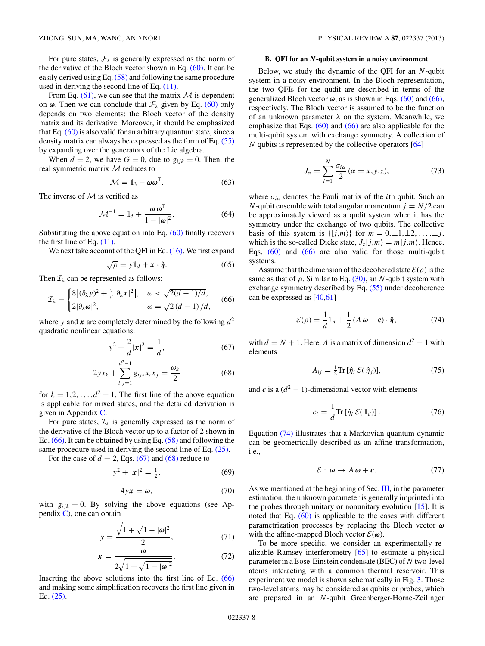<span id="page-7-0"></span>For pure states,  $\mathcal{F}_{\lambda}$  is generally expressed as the norm of the derivative of the Bloch vector shown in Eq.  $(60)$ . It can be easily derived using Eq. [\(58\)](#page-6-0) and following the same procedure used in deriving the second line of Eq. [\(11\).](#page-1-0)

From Eq.  $(61)$ , we can see that the matrix  $\mathcal M$  is dependent on  $\omega$ . Then we can conclude that  $\mathcal{F}_{\lambda}$  given by Eq. [\(60\)](#page-6-0) only depends on two elements: the Bloch vector of the density matrix and its derivative. Moreover, it should be emphasized that Eq. [\(60\)](#page-6-0) is also valid for an arbitrary quantum state, since a density matrix can always be expressed as the form of Eq. [\(55\)](#page-6-0) by expanding over the generators of the Lie algebra.

When  $d = 2$ , we have  $G = 0$ , due to  $g_{ijk} = 0$ . Then, the real symmetric matrix  $M$  reduces to

$$
\mathcal{M} = \mathbb{1}_3 - \boldsymbol{\omega} \boldsymbol{\omega}^{\mathrm{T}}.
$$
 (63)

The inverse of  $M$  is verified as

$$
\mathcal{M}^{-1} = \mathbb{1}_3 + \frac{\omega \omega^{\mathrm{T}}}{1 - |\omega|^2}.
$$
 (64)

Substituting the above equation into Eq. [\(60\)](#page-6-0) finally recovers the first line of Eq. [\(11\).](#page-1-0)

We next take account of the QFI in Eq. [\(16\).](#page-2-0) We first expand

$$
\sqrt{\rho} = y \mathbb{1}_d + x \cdot \hat{\eta}.\tag{65}
$$

Then  $\mathcal{I}_{\lambda}$  can be represented as follows:

$$
\mathcal{I}_{\lambda} = \begin{cases} 8[(\partial_{\lambda} y)^{2} + \frac{2}{d}|\partial_{\lambda} x|^{2}], & \omega < \sqrt{2(d-1)/d}, \\ 2|\partial_{\lambda} \omega|^{2}, & \omega = \sqrt{2(d-1)/d}, \end{cases}
$$
(66)

where *y* and *x* are completely determined by the following  $d^2$ quadratic nonlinear equations:

$$
y^2 + \frac{2}{d} |\mathbf{x}|^2 = \frac{1}{d},\tag{67}
$$

$$
2yx_k + \sum_{i,j=1}^{d^2-1} g_{ijk}x_ix_j = \frac{\omega_k}{2}
$$
 (68)

for  $k = 1, 2, \ldots, d^2 - 1$ . The first line of the above equation is applicable for mixed states, and the detailed derivation is given in Appendix [C.](#page-11-0)

For pure states,  $\mathcal{I}_{\lambda}$  is generally expressed as the norm of the derivative of the Bloch vector up to a factor of 2 shown in Eq. (66). It can be obtained by using Eq. [\(58\)](#page-6-0) and following the same procedure used in deriving the second line of Eq.  $(25)$ .

For the case of  $d = 2$ , Eqs. (67) and (68) reduce to

$$
y^2 + |\mathbf{x}|^2 = \frac{1}{2},\tag{69}
$$

$$
4yx = \omega, \tag{70}
$$

with  $g_{ijk} = 0$ . By solving the above equations (see Appendix  $C$ ), one can obtain

$$
y = \frac{\sqrt{1 + \sqrt{1 - |\omega|^2}}}{2},
$$
\n(71)

$$
x = \frac{\omega}{2\sqrt{1 + \sqrt{1 - |\omega|^2}}}.\tag{72}
$$

Inserting the above solutions into the first line of Eq. (66) and making some simplification recovers the first line given in Eq. [\(25\).](#page-2-0)

#### **B. QFI for an** *N***-qubit system in a noisy environment**

Below, we study the dynamic of the QFI for an *N*-qubit system in a noisy environment. In the Bloch representation, the two QFIs for the qudit are described in terms of the generalized Bloch vector  $\omega$ , as is shown in Eqs. [\(60\)](#page-6-0) and (66), respectively. The Bloch vector is assumed to be the function of an unknown parameter *λ* on the system. Meanwhile, we emphasize that Eqs.  $(60)$  and  $(66)$  are also applicable for the multi-qubit system with exchange symmetry. A collection of *N* qubits is represented by the collective operators [\[64\]](#page-13-0)

$$
J_{\alpha} = \sum_{i=1}^{N} \frac{\sigma_{i\alpha}}{2} (\alpha = x, y, z), \qquad (73)
$$

where  $\sigma_{i\alpha}$  denotes the Pauli matrix of the *i*th qubit. Such an *N*-qubit ensemble with total angular momentum  $j = N/2$  can be approximately viewed as a qudit system when it has the symmetry under the exchange of two qubits. The collective basis of this system is  $\{|j,m\rangle\}$  for  $m = 0,\pm 1,\pm 2,\ldots,\pm j$ , which is the so-called Dicke state,  $J_z|j,m\rangle = m|j,m\rangle$ . Hence, Eqs. [\(60\)](#page-6-0) and (66) are also valid for those multi-qubit systems.

Assume that the dimension of the decohered state  $\mathcal{E}(\rho)$  is the same as that of  $\rho$ . Similar to Eq. [\(30\),](#page-3-0) an *N*-qubit system with exchange symmetry described by Eq. [\(55\)](#page-6-0) under decoherence can be expressed as [\[40,61\]](#page-13-0)

$$
\mathcal{E}(\rho) = \frac{1}{d} \mathbb{1}_d + \frac{1}{2} \left( A \, \boldsymbol{\omega} + \mathbf{c} \right) \cdot \hat{\boldsymbol{\eta}},\tag{74}
$$

with  $d = N + 1$ . Here, *A* is a matrix of dimension  $d^2 - 1$  with elements

$$
A_{ij} = \frac{1}{2} \text{Tr} \left[ \hat{\eta}_i \, \mathcal{E}(\hat{\eta}_j) \right],\tag{75}
$$

and  $c$  is a  $(d^2 - 1)$ -dimensional vector with elements

$$
c_i = \frac{1}{d} \text{Tr} \left[ \hat{\eta}_i \, \mathcal{E}(\mathbb{1}_d) \right]. \tag{76}
$$

Equation (74) illustrates that a Markovian quantum dynamic can be geometrically described as an affine transformation, i.e.,

$$
\mathcal{E}: \omega \mapsto A \omega + c. \tag{77}
$$

As we mentioned at the beginning of Sec. [III,](#page-3-0) in the parameter estimation, the unknown parameter is generally imprinted into the probes through unitary or nonunitary evolution  $[15]$ . It is noted that Eq. [\(60\)](#page-6-0) is applicable to the cases with different parametrization processes by replacing the Bloch vector *ω* with the affine-mapped Bloch vector  $\mathcal{E}(\omega)$ .

To be more specific, we consider an experimentally realizable Ramsey interferometry [\[65\]](#page-13-0) to estimate a physical parameter in a Bose-Einstein condensate (BEC) of *N* two-level atoms interacting with a common thermal reservoir. This experiment we model is shown schematically in Fig. [3.](#page-8-0) Those two-level atoms may be considered as qubits or probes, which are prepared in an *N*-qubit Greenberger-Horne-Zeilinger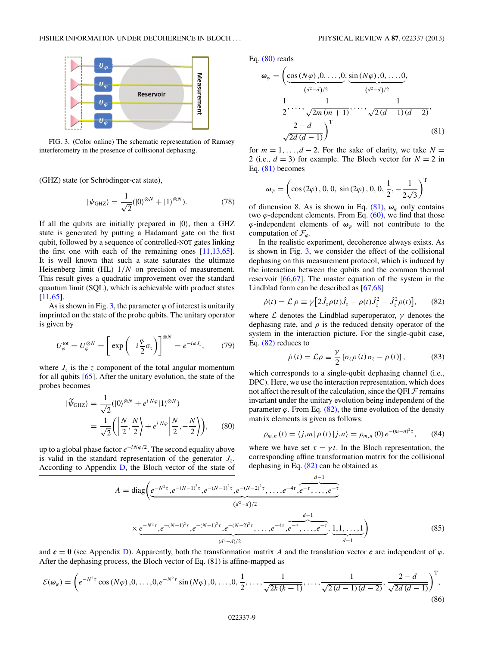<span id="page-8-0"></span>

FIG. 3. (Color online) The schematic representation of Ramsey interferometry in the presence of collisional dephasing.

 $(GHZ)$  state (or Schrödinger-cat state),

$$
|\psi_{\text{GHZ}}\rangle = \frac{1}{\sqrt{2}} (|0\rangle^{\otimes N} + |1\rangle^{\otimes N}). \tag{78}
$$

If all the qubits are initially prepared in  $|0\rangle$ , then a GHZ state is generated by putting a Hadamard gate on the first qubit, followed by a sequence of controlled-NOT gates linking the first one with each of the remaining ones  $[11,13,65]$  $[11,13,65]$ . It is well known that such a state saturates the ultimate Heisenberg limit (HL) 1*/N* on precision of measurement. This result gives a quadratic improvement over the standard quantum limit (SQL), which is achievable with product states  $[11,65]$  $[11,65]$ .

As is shown in Fig. 3, the parameter  $\varphi$  of interest is unitarily imprinted on the state of the probe qubits. The unitary operator is given by

$$
U_{\varphi}^{\text{tot}} = U_{\varphi}^{\otimes N} = \left[ \exp\left( -i\frac{\varphi}{2}\sigma_z \right) \right]^{\otimes N} = e^{-i\varphi J_z}, \quad (79)
$$

where  $J_z$  is the *z* component of the total angular momentum for all qubits [\[65\]](#page-13-0). After the unitary evolution, the state of the probes becomes

$$
\begin{aligned} |\widetilde{\psi}_{\text{GHZ}}\rangle &= \frac{1}{\sqrt{2}} (|0\rangle^{\otimes N} + e^{i\,N\varphi} |1\rangle^{\otimes N}) \\ &= \frac{1}{\sqrt{2}} \left( \left| \frac{N}{2}, \frac{N}{2} \right| + e^{i\,N\varphi} \left| \frac{N}{2}, -\frac{N}{2} \right| \right), \end{aligned} \tag{80}
$$

up to a global phase factor *e*<sup>−</sup>*iNϕ/*2. The second equality above is valid in the standard representation of the generator  $J_z$ . According to Appendix [D,](#page-12-0) the Bloch vector of the state of Eq. (80) reads

$$
\omega_{\varphi} = \left( \underbrace{\cos{(N\varphi)}, 0, \dots, 0}_{(d^2 - d)/2}, \underbrace{\sin{(N\varphi)}, 0, \dots, 0}_{(d^2 - d)/2}, \right. \\
\frac{1}{2}, \dots, \frac{1}{\sqrt{2m (m+1)}}, \dots, \frac{1}{\sqrt{2(d-1)(d-2)}}, \frac{2 - d}{\sqrt{2d (d-1)}} \right)^{\mathrm{T}} \tag{81}
$$

for  $m = 1, \ldots, d - 2$ . For the sake of clarity, we take  $N =$ 2 (i.e.,  $d = 3$ ) for example. The Bloch vector for  $N = 2$  in Eq. (81) becomes

$$
\boldsymbol{\omega}_{\varphi} = \left( \cos \left( 2\varphi \right), 0, 0, \sin \left( 2\varphi \right), 0, 0, \frac{1}{2}, -\frac{1}{2\sqrt{3}} \right)^{\text{T}}
$$

of dimension 8. As is shown in Eq.  $(81)$ ,  $\omega_\varphi$  only contains two  $\varphi$ -dependent elements. From Eq.  $(60)$ , we find that those *ϕ*-independent elements of *ω<sup>ϕ</sup>* will not contribute to the computation of  $\mathcal{F}_{\varphi}$ .

In the realistic experiment, decoherence always exists. As is shown in Fig. 3, we consider the effect of the collisional dephasing on this measurement protocol, which is induced by the interaction between the qubits and the common thermal reservoir [\[66,67\]](#page-13-0). The master equation of the system in the Lindblad form can be described as [\[67,68\]](#page-13-0)

$$
\dot{\rho}(t) = \mathcal{L} \rho \equiv \gamma \Big[ 2 \hat{J}_z \rho(t) \hat{J}_z - \rho(t) \hat{J}_z^2 - \hat{J}_z^2 \rho(t) \Big], \qquad (82)
$$

where  $\mathcal L$  denotes the Lindblad superoperator,  $\gamma$  denotes the dephasing rate, and  $\rho$  is the reduced density operator of the system in the interaction picture. For the single-qubit case, Eq. (82) reduces to

$$
\dot{\rho}(t) = \mathcal{L}\rho \equiv \frac{\gamma}{2} \left[ \sigma_z \rho(t) \sigma_z - \rho(t) \right], \tag{83}
$$

which corresponds to a single-qubit dephasing channel (i.e., DPC). Here, we use the interaction representation, which does not affect the result of the calculation, since the QFI  $\mathcal F$  remains invariant under the unitary evolution being independent of the parameter  $\varphi$ . From Eq. (82), the time evolution of the density matrix elements is given as follows:

$$
\rho_{m,n}(t) = \langle j,m | \rho(t) | j,n \rangle = \rho_{m,n}(0) e^{-(m-n)^2 \tau}, \qquad (84)
$$

where we have set  $\tau = \gamma t$ . In the Bloch representation, the corresponding affine transformation matrix for the collisional dephasing in Eq. (82) can be obtained as

$$
A = \text{diag}\left(e^{-N^2\tau}, e^{-(N-1)^2\tau}, e^{-(N-1)^2\tau}, e^{-(N-2)^2\tau}, \dots, e^{-4\tau}, e^{-\tau}, \dots, e^{-\tau} \atop (d^2 - d)/2\right)
$$

$$
\times \underbrace{e^{-N^2\tau}, e^{-(N-1)^2\tau}, e^{-(N-1)^2\tau}, e^{-(N-2)^2\tau}, \dots, e^{-4\tau}, e^{-\tau}, \dots, e^{-\tau}}_{(d^2 - d)/2}, \underbrace{1, 1, \dots, 1}_{d-1}\right)
$$
(85)

and  $c = 0$  (see Appendix [D\)](#page-12-0). Apparently, both the transformation matrix *A* and the translation vector *c* are independent of  $\varphi$ . After the dephasing process, the Bloch vector of Eq. (81) is affine-mapped as

$$
\mathcal{E}(\omega_{\varphi}) = \left(e^{-N^2\tau}\cos(N\varphi), 0, \dots, 0, e^{-N^2\tau}\sin(N\varphi), 0, \dots, 0, \frac{1}{2}, \dots, \frac{1}{\sqrt{2k(k+1)}}, \dots, \frac{1}{\sqrt{2(d-1)(d-2)}}, \frac{2-d}{\sqrt{2d(d-1)}}\right)^T, \tag{86}
$$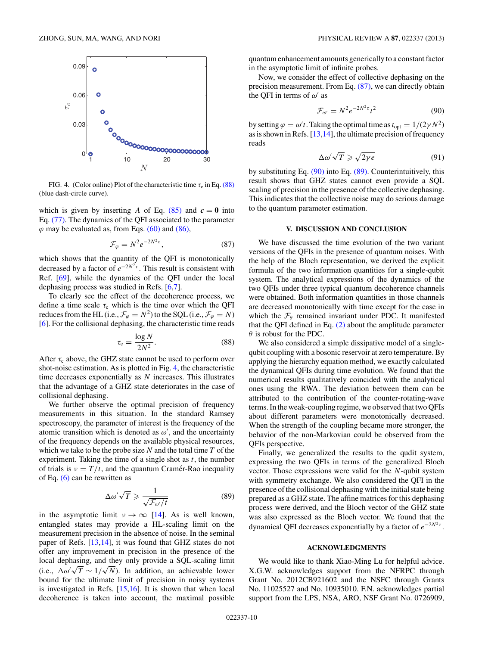<span id="page-9-0"></span>

FIG. 4. (Color online) Plot of the characteristic time  $\tau_c$  in Eq. (88) (blue dash-circle curve).

which is given by inserting *A* of Eq. [\(85\)](#page-8-0) and  $c = 0$  into Eq. [\(77\).](#page-7-0) The dynamics of the QFI associated to the parameter  $\varphi$  may be evaluated as, from Eqs. [\(60\)](#page-6-0) and [\(86\),](#page-8-0)

$$
\mathcal{F}_{\varphi} = N^2 e^{-2N^2 \tau},\tag{87}
$$

which shows that the quantity of the QFI is monotonically decreased by a factor of  $e^{-2N^2\tau}$ . This result is consistent with Ref. [\[69\]](#page-13-0), while the dynamics of the QFI under the local dephasing process was studied in Refs. [\[6,7\]](#page-12-0).

To clearly see the effect of the decoherence process, we define a time scale  $\tau_c$  which is the time over which the QFI reduces from the HL (i.e.,  $\mathcal{F}_{\varphi} = N^2$ ) to the SQL (i.e.,  $\mathcal{F}_{\varphi} = N$ ) [\[6\]](#page-12-0). For the collisional dephasing, the characteristic time reads

$$
\tau_{\rm c} = \frac{\log N}{2N^2}.\tag{88}
$$

After  $\tau_c$  above, the GHZ state cannot be used to perform over shot-noise estimation. As is plotted in Fig. 4, the characteristic time decreases exponentially as *N* increases. This illustrates that the advantage of a GHZ state deteriorates in the case of collisional dephasing.

We further observe the optimal precision of frequency measurements in this situation. In the standard Ramsey spectroscopy, the parameter of interest is the frequency of the atomic transition which is denoted as  $\omega'$ , and the uncertainty of the frequency depends on the available physical resources, which we take to be the probe size *N* and the total time *T* of the experiment. Taking the time of a single shot as *t*, the number of trials is  $v = T/t$ , and the quantum Cramér-Rao inequality of Eq. [\(6\)](#page-1-0) can be rewritten as

$$
\Delta \omega' \sqrt{T} \geqslant \frac{1}{\sqrt{\mathcal{F}_{\omega'}/t}}\tag{89}
$$

in the asymptotic limit  $v \to \infty$  [\[14\]](#page-12-0). As is well known, entangled states may provide a HL-scaling limit on the measurement precision in the absence of noise. In the seminal paper of Refs. [\[13,14\]](#page-12-0), it was found that GHZ states do not offer any improvement in precision in the presence of the local dephasing, and they only provide a SQL-scaling limit  $\alpha$  iocal depnasing, and they only provide a SQL-scaling limit (i.e., Δω' $\sqrt{T} \sim 1/\sqrt{N}$ ). In addition, an achievable lower bound for the ultimate limit of precision in noisy systems is investigated in Refs. [\[15,16\]](#page-12-0). It is shown that when local decoherence is taken into account, the maximal possible

quantum enhancement amounts generically to a constant factor in the asymptotic limit of infinite probes.

Now, we consider the effect of collective dephasing on the precision measurement. From Eq. (87), we can directly obtain the QFI in terms of  $\omega'$  as

$$
\mathcal{F}_{\omega'} = N^2 e^{-2N^2 \tau} t^2 \tag{90}
$$

by setting  $\varphi = \omega' t$ . Taking the optimal time as  $t_{opt} = 1/(2\gamma N^2)$ as is shown in Refs.  $[13,14]$ , the ultimate precision of frequency reads

$$
\Delta \omega' \sqrt{T} \geqslant \sqrt{2\gamma e} \tag{91}
$$

by substituting Eq. (90) into Eq. (89). Counterintuitively, this result shows that GHZ states cannot even provide a SQL scaling of precision in the presence of the collective dephasing. This indicates that the collective noise may do serious damage to the quantum parameter estimation.

### **V. DISCUSSION AND CONCLUSION**

We have discussed the time evolution of the two variant versions of the QFIs in the presence of quantum noises. With the help of the Bloch representation, we derived the explicit formula of the two information quantities for a single-qubit system. The analytical expressions of the dynamics of the two QFIs under three typical quantum decoherence channels were obtained. Both information quantities in those channels are decreased monotonically with time except for the case in which the  $\mathcal{F}_{\theta}$  remained invariant under PDC. It manifested that the QFI defined in Eq. [\(2\)](#page-1-0) about the amplitude parameter *θ* is robust for the PDC.

We also considered a simple dissipative model of a singlequbit coupling with a bosonic reservoir at zero temperature. By applying the hierarchy equation method, we exactly calculated the dynamical QFIs during time evolution. We found that the numerical results qualitatively coincided with the analytical ones using the RWA. The deviation between them can be attributed to the contribution of the counter-rotating-wave terms. In the weak-coupling regime, we observed that two QFIs about different parameters were monotonically decreased. When the strength of the coupling became more stronger, the behavior of the non-Markovian could be observed from the QFIs perspective.

Finally, we generalized the results to the qudit system, expressing the two QFIs in terms of the generalized Bloch vector. Those expressions were valid for the *N*-qubit system with symmetry exchange. We also considered the QFI in the presence of the collisional dephasing with the initial state being prepared as a GHZ state. The affine matrices for this dephasing process were derived, and the Bloch vector of the GHZ state was also expressed as the Bloch vector. We found that the dynamical QFI decreases exponentially by a factor of *e*<sup>−</sup>2*N*2*<sup>τ</sup>* .

## **ACKNOWLEDGMENTS**

We would like to thank Xiao-Ming Lu for helpful advice. X.G.W. acknowledges support from the NFRPC through Grant No. 2012CB921602 and the NSFC through Grants No. 11025527 and No. 10935010. F.N. acknowledges partial support from the LPS, NSA, ARO, NSF Grant No. 0726909,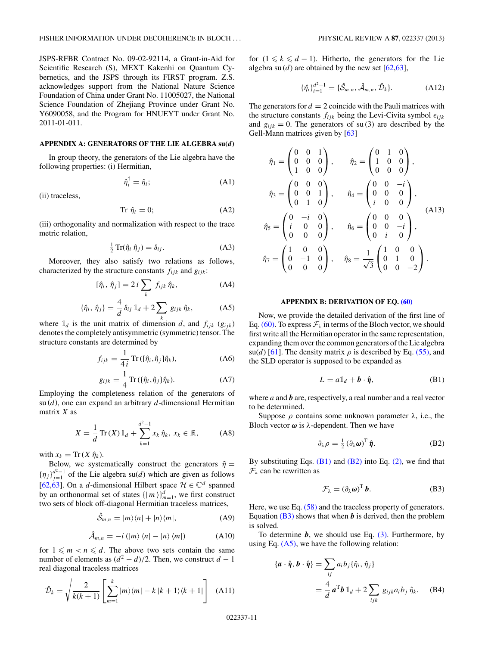<span id="page-10-0"></span>JSPS-RFBR Contract No. 09-02-92114, a Grant-in-Aid for Scientific Research (S), MEXT Kakenhi on Quantum Cybernetics, and the JSPS through its FIRST program. Z.S. acknowledges support from the National Nature Science Foundation of China under Grant No. 11005027, the National Science Foundation of Zhejiang Province under Grant No. Y6090058, and the Program for HNUEYT under Grant No. 2011-01-011.

#### **APPENDIX A: GENERATORS OF THE LIE ALGEBRA su(***d***)**

In group theory, the generators of the Lie algebra have the following properties: (i) Hermitian,

$$
\hat{\eta}_i^\dagger = \hat{\eta}_i; \tag{A1}
$$

(ii) traceless,

$$
\text{Tr } \hat{\eta}_i = 0; \tag{A2}
$$

(iii) orthogonality and normalization with respect to the trace metric relation,

$$
\frac{1}{2}\operatorname{Tr}(\hat{\eta}_i \hat{\eta}_j) = \delta_{ij}.\tag{A3}
$$

Moreover, they also satisfy two relations as follows, characterized by the structure constants  $f_{ijk}$  and  $g_{ijk}$ :

$$
[\hat{\eta}_i, \hat{\eta}_j] = 2i \sum_k f_{ijk} \hat{\eta}_k, \tag{A4}
$$

$$
\{\hat{\eta}_i, \,\hat{\eta}_j\} = \frac{4}{d} \,\delta_{ij} \, \mathbb{1}_d + 2 \sum_k \, g_{ijk} \,\hat{\eta}_k, \tag{A5}
$$

where  $\mathbb{1}_d$  is the unit matrix of dimension *d*, and  $f_{ijk}$  ( $g_{ijk}$ ) denotes the completely antisymmetric (symmetric) tensor. The structure constants are determined by

$$
f_{ijk} = \frac{1}{4i} \operatorname{Tr} \left( [\hat{\eta}_i, \hat{\eta}_j] \hat{\eta}_k \right), \tag{A6}
$$

$$
g_{ijk} = \frac{1}{4} \operatorname{Tr} \left( \{ \hat{\eta}_i, \hat{\eta}_j \} \hat{\eta}_k \right).
$$
 (A7)

Employing the completeness relation of the generators of su (*d*), one can expand an arbitrary *d*-dimensional Hermitian matrix *X* as

$$
X = \frac{1}{d} \operatorname{Tr}(X) \, \mathbb{1}_d + \sum_{k=1}^{d^2 - 1} x_k \, \hat{\eta}_k, \ x_k \in \mathbb{R}, \tag{A8}
$$

with  $x_k = \text{Tr}(X \hat{\eta}_k)$ .

Below, we systematically construct the generators  $\hat{\eta}$  =  ${\{\eta_j\}}_{j=1}^{d^2-1}$  of the Lie algebra su(*d*) which are given as follows [\[62,63\]](#page-13-0). On a *d*-dimensional Hilbert space  $\mathcal{H} \in \mathbb{C}^d$  spanned by an orthonormal set of states  $\{|m\rangle|_{m=1}^d$ , we first construct two sets of block off-diagonal Hermitian traceless matrices,

$$
\hat{S}_{m,n} = |m\rangle\langle n| + |n\rangle\langle m|,\tag{A9}
$$

$$
\hat{\mathcal{A}}_{m,n} = -i \left( \left| m \right\rangle \left\langle n \right| - \left| n \right\rangle \left\langle m \right| \right) \tag{A10}
$$

for  $1 \leq m < n \leq d$ . The above two sets contain the same number of elements as  $(d^2 - d)/2$ . Then, we construct  $d - 1$ real diagonal traceless matrices

$$
\hat{\mathcal{D}}_k = \sqrt{\frac{2}{k(k+1)}} \left[ \sum_{m=1}^k |m\rangle\langle m| - k|k+1\rangle\langle k+1| \right] \quad \text{(A11)}
$$

for  $(1 \le k \le d - 1)$ . Hitherto, the generators for the Lie algebra su  $(d)$  are obtained by the new set  $[62,63]$ ,

$$
\{\hat{\eta}_i\}_{i=1}^{d^2-1} = \{\hat{\mathcal{S}}_{m,n}, \hat{\mathcal{A}}_{m,n}, \hat{\mathcal{D}}_k\}.
$$
 (A12)

The generators for  $d = 2$  coincide with the Pauli matrices with the structure constants  $f_{ijk}$  being the Levi-Civita symbol  $\epsilon_{ijk}$ and  $g_{ijk} = 0$ . The generators of su (3) are described by the Gell-Mann matrices given by [\[63\]](#page-13-0)

$$
\hat{\eta}_1 = \begin{pmatrix} 0 & 0 & 1 \\ 0 & 0 & 0 \\ 1 & 0 & 0 \end{pmatrix}, \qquad \hat{\eta}_2 = \begin{pmatrix} 0 & 1 & 0 \\ 1 & 0 & 0 \\ 0 & 0 & 0 \end{pmatrix},
$$

$$
\hat{\eta}_3 = \begin{pmatrix} 0 & 0 & 0 \\ 0 & 0 & 1 \\ 0 & 1 & 0 \end{pmatrix}, \qquad \hat{\eta}_4 = \begin{pmatrix} 0 & 0 & -i \\ 0 & 0 & 0 \\ i & 0 & 0 \end{pmatrix},
$$

$$
\hat{\eta}_5 = \begin{pmatrix} 0 & -i & 0 \\ i & 0 & 0 \\ 0 & 0 & 0 \end{pmatrix}, \qquad \hat{\eta}_6 = \begin{pmatrix} 0 & 0 & 0 \\ 0 & 0 & -i \\ 0 & i & 0 \end{pmatrix},
$$

$$
\hat{\eta}_7 = \begin{pmatrix} 1 & 0 & 0 \\ 0 & -1 & 0 \\ 0 & 0 & 0 \end{pmatrix}, \qquad \hat{\eta}_8 = \frac{1}{\sqrt{3}} \begin{pmatrix} 1 & 0 & 0 \\ 0 & 1 & 0 \\ 0 & 0 & -2 \end{pmatrix}.
$$

## **APPENDIX B: DERIVATION OF EQ. [\(60\)](#page-6-0)**

Now, we provide the detailed derivation of the first line of Eq. [\(60\).](#page-6-0) To express  $\mathcal{F}_{\lambda}$  in terms of the Bloch vector, we should first write all the Hermitian operator in the same representation, expanding them over the common generators of the Lie algebra su(*d*) [\[61\]](#page-13-0). The density matrix  $\rho$  is described by Eq. [\(55\),](#page-6-0) and the SLD operator is supposed to be expanded as

$$
L = a\mathbb{1}_d + \mathbf{b} \cdot \hat{\mathbf{\eta}},\tag{B1}
$$

where *a* and *b* are, respectively, a real number and a real vector to be determined.

Suppose *ρ* contains some unknown parameter *λ*, i.e., the Bloch vector  $\omega$  is  $\lambda$ -dependent. Then we have

$$
\partial_{\lambda} \rho = \frac{1}{2} \left( \partial_{\lambda} \omega \right)^{T} \hat{\eta}.
$$
 (B2)

By substituting Eqs.  $(B1)$  and  $(B2)$  into Eq.  $(2)$ , we find that  $\mathcal{F}_{\lambda}$  can be rewritten as

$$
\mathcal{F}_{\lambda} = (\partial_{\lambda} \boldsymbol{\omega})^{\mathrm{T}} \boldsymbol{b}.
$$
 (B3)

Here, we use Eq. [\(58\)](#page-6-0) and the traceless property of generators. Equation  $(B3)$  shows that when  **is derived, then the problem** is solved.

To determine **, we should use Eq.**  $(3)$ **. Furthermore, by** using Eq.  $(A5)$ , we have the following relation:

$$
\{a \cdot \hat{\eta}, b \cdot \hat{\eta}\} = \sum_{ij} a_i b_j \{ \hat{\eta}_i, \hat{\eta}_j \}
$$
  
= 
$$
\frac{4}{d} a^{\mathrm{T}} b \mathbb{1}_d + 2 \sum_{ijk} g_{ijk} a_i b_j \hat{\eta}_k.
$$
 (B4)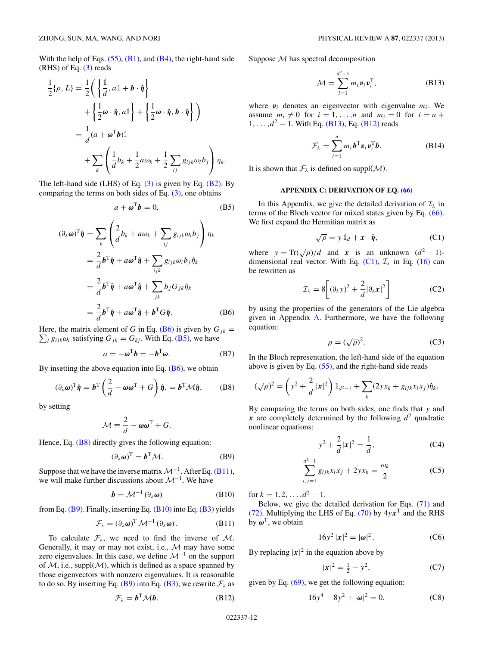<span id="page-11-0"></span>With the help of Eqs.  $(55)$ ,  $(B1)$ , and  $(B4)$ , the right-hand side  $(RHS)$  of Eq.  $(3)$  reads

$$
\frac{1}{2}\{\rho, L\} = \frac{1}{2} \left( \left\{ \frac{1}{d}, a\mathbb{1} + b \cdot \hat{\eta} \right\} + \left\{ \frac{1}{2}\boldsymbol{\omega} \cdot \hat{\eta}, a\mathbb{1} \right\} + \left\{ \frac{1}{2}\boldsymbol{\omega} \cdot \hat{\eta}, b \cdot \hat{\eta} \right\} \right)
$$
\n
$$
= \frac{1}{d}(a + \boldsymbol{\omega}^{\mathrm{T}}b)\mathbb{1}
$$
\n
$$
+ \sum_{k} \left( \frac{1}{d}b_{k} + \frac{1}{2}a\omega_{k} + \frac{1}{2} \sum_{ij} g_{ijk}\omega_{i}b_{j} \right) \eta_{k}.
$$

The left-hand side (LHS) of Eq. [\(3\)](#page-1-0) is given by Eq. [\(B2\).](#page-10-0) By comparing the terms on both sides of Eq.  $(3)$ , one obtains

$$
a + \omega^{\mathrm{T}} b = 0, \tag{B5}
$$

$$
(\partial_{\lambda}\omega)^{T}\hat{\eta} = \sum_{k} \left(\frac{2}{d}b_{k} + a\omega_{k} + \sum_{ij}g_{ijk}\omega_{i}b_{j}\right)\eta_{k}
$$
  

$$
= \frac{2}{d}b^{T}\hat{\eta} + a\omega^{T}\hat{\eta} + \sum_{ijk}g_{ijk}\omega_{i}b_{j}\hat{\eta}_{k}
$$
  

$$
= \frac{2}{d}b^{T}\hat{\eta} + a\omega^{T}\hat{\eta} + \sum_{jk}b_{j}G_{jk}\hat{\eta}_{k}
$$
  

$$
= \frac{2}{d}b^{T}\hat{\eta} + a\omega^{T}\hat{\eta} + b^{T}G\hat{\eta}.
$$
 (B6)

Here, the matrix element of G in Eq. (B6) is given by  $G_{jk} =$  $\sum_i g_{ijk}\omega_i$  satisfying  $G_{jk} = G_{kj}$ . With Eq. (B5), we have

$$
a = -\omega^{\mathrm{T}}b = -b^{\mathrm{T}}\omega.
$$
 (B7)

By insetting the above equation into Eq. (B6), we obtain

$$
(\partial_{\lambda} \omega)^{\mathrm{T}} \hat{\eta} = b^{\mathrm{T}} \left( \frac{2}{d} - \omega \omega^{\mathrm{T}} + G \right) \hat{\eta}, = b^{\mathrm{T}} \mathcal{M} \hat{\eta}, \quad (B8)
$$

by setting

$$
\mathcal{M} \equiv \frac{2}{d} - \omega \omega^{T} + G.
$$

Hence, Eq. (B8) directly gives the following equation:

$$
(\partial_{\lambda}\omega)^{\mathrm{T}} = \boldsymbol{b}^{\mathrm{T}}\mathcal{M}.\tag{B9}
$$

Suppose that we have the inverse matrix  $\mathcal{M}^{-1}$ . After Eq. (B11), we will make further discussions about  $\mathcal{M}^{-1}$ . We have

$$
\boldsymbol{b} = \mathcal{M}^{-1} \left( \partial_{\lambda} \boldsymbol{\omega} \right) \tag{B10}
$$

from Eq. (B9). Finally, inserting Eq. (B10) into Eq. [\(B3\)](#page-10-0) yields

$$
\mathcal{F}_{\lambda} = (\partial_{\lambda} \boldsymbol{\omega})^{\mathrm{T}} \mathcal{M}^{-1} (\partial_{\lambda} \boldsymbol{\omega}). \tag{B11}
$$

To calculate  $\mathcal{F}_{\lambda}$ , we need to find the inverse of M. Generally, it may or may not exist, i.e.,  $M$  may have some zero eigenvalues. In this case, we define  $\mathcal{M}^{-1}$  on the support of  $M$ , i.e., suppl $(M)$ , which is defined as a space spanned by those eigenvectors with nonzero eigenvalues. It is reasonable to do so. By inserting Eq. (B9) into Eq. [\(B3\),](#page-10-0) we rewrite  $\mathcal{F}_{\lambda}$  as

$$
\mathcal{F}_{\lambda} = \boldsymbol{b}^{\mathrm{T}} \mathcal{M} \boldsymbol{b}.
$$
 (B12)

Suppose  $M$  has spectral decomposition

$$
\mathcal{M} = \sum_{i=1}^{d^2-1} m_i \mathbf{v}_i \mathbf{v}_i^{\mathrm{T}},
$$
 (B13)

where  $v_i$  denotes an eigenvector with eigenvalue  $m_i$ . We assume  $m_i \neq 0$  for  $i = 1, ..., n$  and  $m_i = 0$  for  $i = n + 1$ 1*, . . . ,d*<sup>2</sup> − 1. With Eq. (B13), Eq. (B12) reads

$$
\mathcal{F}_{\lambda} = \sum_{i=1}^{n} m_i \boldsymbol{b}^{\mathrm{T}} \boldsymbol{v}_i \boldsymbol{v}_i^{\mathrm{T}} \boldsymbol{b}.
$$
 (B14)

It is shown that  $\mathcal{F}_{\lambda}$  is defined on suppl( $\mathcal{M}$ ).

## **APPENDIX C: DERIVATION OF EQ. [\(66\)](#page-7-0)**

In this Appendix, we give the detailed derivation of  $\mathcal{I}_{\lambda}$  in terms of the Bloch vector for mixed states given by Eq. [\(66\).](#page-7-0) We first expand the Hermitian matrix as

$$
\sqrt{\rho} = y \, \mathbb{1}_d + x \cdot \hat{\eta},\tag{C1}
$$

where  $y = \text{Tr}(\sqrt{\rho})/d$  and *x* is an unknown  $(d^2 - 1)$ dimensional real vector. With Eq. (C1),  $\mathcal{I}_{\lambda}$  in Eq. [\(16\)](#page-2-0) can be rewritten as

$$
\mathcal{I}_{\lambda} = 8 \left[ (\partial_{\lambda} y)^2 + \frac{2}{d} |\partial_{\lambda} x|^2 \right] \tag{C2}
$$

by using the properties of the generators of the Lie algebra given in Appendix [A.](#page-10-0) Furthermore, we have the following equation:

$$
\rho = (\sqrt{\rho})^2. \tag{C3}
$$

In the Bloch representation, the left-hand side of the equation above is given by Eq.  $(55)$ , and the right-hand side reads

$$
(\sqrt{\rho})^2 = \left(y^2 + \frac{2}{d} |x|^2\right) \mathbb{1}_{d^2 - 1} + \sum_k (2yx_k + g_{ijk}x_ix_j)\hat{\eta}_k.
$$

By comparing the terms on both sides, one finds that *y* and x are completely determined by the following  $d^2$  quadratic nonlinear equations:

$$
y^{2} + \frac{2}{d}|\mathbf{x}|^{2} = \frac{1}{d},
$$
 (C4)

$$
\sum_{i,j=1}^{d^2-1} g_{ijk} x_i x_j + 2yx_k = \frac{\omega_k}{2}
$$
 (C5)

for  $k = 1, 2, \ldots, d^2 - 1$ .

Below, we give the detailed derivation for Eqs. [\(71\)](#page-7-0) and [\(72\).](#page-7-0) Multiplying the LHS of Eq. [\(70\)](#page-7-0) by  $4yx<sup>T</sup>$  and the RHS by  $\boldsymbol{\omega}^T$ , we obtain

$$
16y^2 |x|^2 = |\omega|^2. \tag{C6}
$$

By replacing  $|x|^2$  in the equation above by

$$
|\mathbf{x}|^2 = \frac{1}{2} - y^2,\tag{C7}
$$

given by Eq.  $(69)$ , we get the following equation:

$$
16y^4 - 8y^2 + |\omega|^2 = 0.
$$
 (C8)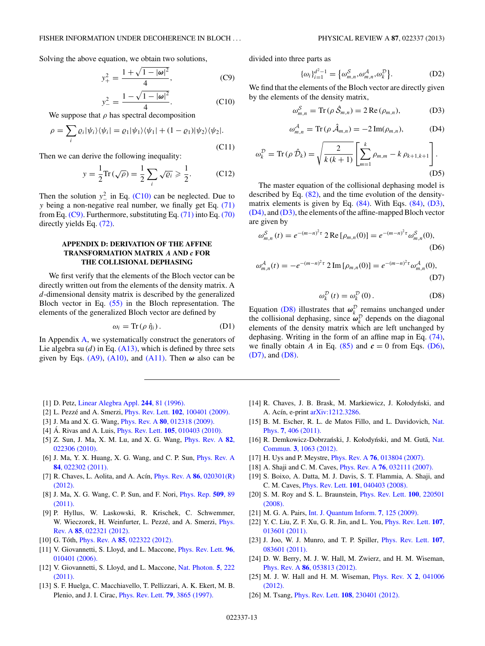<span id="page-12-0"></span>Solving the above equation, we obtain two solutions,

$$
y_{+}^{2} = \frac{1 + \sqrt{1 - |\omega|^{2}}}{4},
$$
 (C9)

$$
y_{-}^{2} = \frac{1 - \sqrt{1 - |\omega|^{2}}}{4}.
$$
 (C10)

We suppose that  $\rho$  has spectral decomposition

$$
\rho = \sum_{i} \varrho_{i} |\psi_{i}\rangle\langle\psi_{i}| = \varrho_{1} |\psi_{1}\rangle\langle\psi_{1}| + (1 - \varrho_{1})|\psi_{2}\rangle\langle\psi_{2}|.
$$
\n(C11)

Then we can derive the following inequality:

$$
y = \frac{1}{2}\text{Tr}\left(\sqrt{\rho}\right) = \frac{1}{2}\sum_{i}\sqrt{\varrho_{i}} \ge \frac{1}{2}.\tag{C12}
$$

Then the solution  $y^2$  in Eq. (C10) can be neglected. Due to *y* being a non-negative real number, we finally get Eq. [\(71\)](#page-7-0) from Eq.  $(C9)$ . Furthermore, substituting Eq.  $(71)$  into Eq.  $(70)$ directly yields Eq. [\(72\).](#page-7-0)

# **APPENDIX D: DERIVATION OF THE AFFINE TRANSFORMATION MATRIX** *A* **AND** *c* **FOR THE COLLISIONAL DEPHASING**

We first verify that the elements of the Bloch vector can be directly written out from the elements of the density matrix. A *d*-dimensional density matrix is described by the generalized Bloch vector in Eq. [\(55\)](#page-6-0) in the Bloch representation. The elements of the generalized Bloch vector are defined by

$$
\omega_i = \text{Tr}\left(\rho \hat{\eta}_i\right). \tag{D1}
$$

In Appendix  $\overline{A}$ , we systematically construct the generators of Lie algebra su  $(d)$  in Eq.  $(A13)$ , which is defined by three sets given by Eqs. [\(A9\),](#page-10-0) [\(A10\),](#page-10-0) and [\(A11\).](#page-10-0) Then *ω* also can be

- [1] D. Petz, [Linear Alegbra Appl.](http://dx.doi.org/10.1016/0024-3795(94)00211-8) **244**, 81 (1996).
- [2] L. Pezzé and A. Smerzi, *Phys. Rev. Lett.* **102**[, 100401 \(2009\).](http://dx.doi.org/10.1103/PhysRevLett.102.100401)
- [3] J. Ma and X. G. Wang, Phys. Rev. A **80**[, 012318 \(2009\).](http://dx.doi.org/10.1103/PhysRevA.80.012318)
- [4] Á. Rivas and A. Luis, *Phys. Rev. Lett.* **105**[, 010403 \(2010\).](http://dx.doi.org/10.1103/PhysRevLett.105.010403)
- [5] Z. Sun, J. Ma, X. M. Lu, and X. G. Wang, [Phys. Rev. A](http://dx.doi.org/10.1103/PhysRevA.82.022306) **82**, [022306 \(2010\).](http://dx.doi.org/10.1103/PhysRevA.82.022306)
- [6] J. Ma, Y. X. Huang, X. G. Wang, and C. P. Sun, [Phys. Rev. A](http://dx.doi.org/10.1103/PhysRevA.84.022302) **84**[, 022302 \(2011\).](http://dx.doi.org/10.1103/PhysRevA.84.022302)
- [7] R. Chaves, L. Aolita, and A. Acín, *[Phys. Rev. A](http://dx.doi.org/10.1103/PhysRevA.86.020301)* **86**, 020301(*R*) [\(2012\).](http://dx.doi.org/10.1103/PhysRevA.86.020301)
- [8] J. Ma, X. G. Wang, C. P. Sun, and F. Nori, [Phys. Rep.](http://dx.doi.org/10.1016/j.physrep.2011.08.003) **509**, 89 [\(2011\).](http://dx.doi.org/10.1016/j.physrep.2011.08.003)
- [9] P. Hyllus, W. Laskowski, R. Krischek, C. Schwemmer, W. Wieczorek, H. Weinfurter, L. Pezzé, and A. Smerzi, *[Phys.](http://dx.doi.org/10.1103/PhysRevA.85.022321)* Rev. A **85**[, 022321 \(2012\).](http://dx.doi.org/10.1103/PhysRevA.85.022321)
- [10] G. Tóth, *Phys. Rev. A* **85**[, 022322 \(2012\).](http://dx.doi.org/10.1103/PhysRevA.85.022322)
- [11] V. Giovannetti, S. Lloyd, and L. Maccone, [Phys. Rev. Lett.](http://dx.doi.org/10.1103/PhysRevLett.96.010401) **96**, [010401 \(2006\).](http://dx.doi.org/10.1103/PhysRevLett.96.010401)
- [12] V. Giovannetti, S. Lloyd, and L. Maccone, [Nat. Photon.](http://dx.doi.org/10.1038/nphoton.2011.35) **5**, 222 [\(2011\).](http://dx.doi.org/10.1038/nphoton.2011.35)
- [13] S. F. Huelga, C. Macchiavello, T. Pellizzari, A. K. Ekert, M. B. Plenio, and J. I. Cirac, [Phys. Rev. Lett.](http://dx.doi.org/10.1103/PhysRevLett.79.3865) **79**, 3865 (1997).

divided into three parts as

$$
\{\omega_i\}_{i=1}^{d^2-1} = \{\omega_{m,n}^{\mathcal{S}}, \omega_{m,n}^{\mathcal{A}}, \omega_k^{\mathcal{D}}\}.
$$
 (D2)

We find that the elements of the Bloch vector are directly given by the elements of the density matrix,

$$
\omega_{m,n}^S = \text{Tr}\left(\rho \,\hat{\mathcal{S}}_{m,n}\right) = 2\,\text{Re}\left(\rho_{m,n}\right),\tag{D3}
$$

$$
\omega_{m,n}^{\mathcal{A}} = \text{Tr}\left(\rho \,\hat{\mathcal{A}}_{m,n}\right) = -2\,\text{Im}(\rho_{m,n}),\tag{D4}
$$

$$
\omega_k^{\mathcal{D}} = \text{Tr}\,(\rho \,\hat{\mathcal{D}}_k) = \sqrt{\frac{2}{k\,(k+1)}} \left[ \sum_{m=1}^k \rho_{m,m} - k \,\rho_{k+1,k+1} \right].
$$
\n(D5)

The master equation of the collisional dephasing model is described by Eq. [\(82\),](#page-8-0) and the time evolution of the densitymatrix elements is given by Eq. [\(84\).](#page-8-0) With Eqs. [\(84\),](#page-8-0) (D3), (D4), and (D3), the elements of the affine-mapped Bloch vector are given by

$$
\omega_{m,n}^S(t) = e^{-(m-n)^2 \tau} 2 \operatorname{Re} [\rho_{m,n}(0)] = e^{-(m-n)^2 \tau} \omega_{m,n}^S(0),
$$
\n(D6)

$$
\omega_{m,n}^{\mathcal{A}}(t) = -e^{-(m-n)^2 \tau} 2 \operatorname{Im} \left[ \rho_{m,n}(0) \right] = e^{-(m-n)^2 \tau} \omega_{m,n}^{\mathcal{A}}(0),\tag{D7}
$$

$$
\omega_k^{\mathcal{D}}(t) = \omega_k^{\mathcal{D}}(0). \tag{D8}
$$

Equation (D8) illustrates that  $\omega_k^{\mathcal{D}}$  remains unchanged under the collisional dephasing, since  $\boldsymbol{\omega}_k^{\mathcal{D}}$  depends on the diagonal elements of the density matrix which are left unchanged by dephasing. Writing in the form of an affine map in Eq. [\(74\),](#page-7-0) we finally obtain *A* in Eq.  $(85)$  and  $c = 0$  from Eqs. (D6), (D7), and (D8).

- [14] R. Chaves, J. B. Brask, M. Markiewicz, J. Kołodyński, and A. Acín, e-print [arXiv:1212.3286.](http://arXiv.org/abs/arXiv:1212.3286)
- [15] B. M. Escher, R. L. de Matos Fillo, and L. Davidovich, [Nat.](http://dx.doi.org/10.1038/nphys1958) Phys. **7**[, 406 \(2011\).](http://dx.doi.org/10.1038/nphys1958)
- [16] R. Demkowicz-Dobrzański, J. Kołodyński, and M. Gută, [Nat.](http://dx.doi.org/10.1038/ncomms2067) Commun. **3**[, 1063 \(2012\).](http://dx.doi.org/10.1038/ncomms2067)
- [17] H. Uys and P. Meystre, Phys. Rev. A **76**[, 013804 \(2007\).](http://dx.doi.org/10.1103/PhysRevA.76.013804)
- [18] A. Shaji and C. M. Caves, Phys. Rev. A **76**[, 032111 \(2007\).](http://dx.doi.org/10.1103/PhysRevA.76.032111)
- [19] S. Boixo, A. Datta, M. J. Davis, S. T. Flammia, A. Shaji, and C. M. Caves, Phys. Rev. Lett. **101**[, 040403 \(2008\).](http://dx.doi.org/10.1103/PhysRevLett.101.040403)
- [20] S. M. Roy and S. L. Braunstein, [Phys. Rev. Lett.](http://dx.doi.org/10.1103/PhysRevLett.100.220501) **100**, 220501 [\(2008\).](http://dx.doi.org/10.1103/PhysRevLett.100.220501)
- [21] M. G. A. Pairs, [Int. J. Quantum Inform.](http://dx.doi.org/10.1142/S0219749909004839) **7**, 125 (2009).
- [22] Y. C. Liu, Z. F. Xu, G. R. Jin, and L. You, [Phys. Rev. Lett.](http://dx.doi.org/10.1103/PhysRevLett.107.013601) **107**, [013601 \(2011\).](http://dx.doi.org/10.1103/PhysRevLett.107.013601)
- [23] J. Joo, W. J. Munro, and T. P. Spiller, [Phys. Rev. Lett.](http://dx.doi.org/10.1103/PhysRevLett.107.083601) **107**, [083601 \(2011\).](http://dx.doi.org/10.1103/PhysRevLett.107.083601)
- [24] D. W. Berry, M. J. W. Hall, M. Zwierz, and H. M. Wiseman, Phys. Rev. A **86**[, 053813 \(2012\).](http://dx.doi.org/10.1103/PhysRevA.86.053813)
- [25] M. J. W. Hall and H. M. Wiseman, [Phys. Rev. X](http://dx.doi.org/10.1103/PhysRevX.2.041006) **2**, 041006 [\(2012\).](http://dx.doi.org/10.1103/PhysRevX.2.041006)
- [26] M. Tsang, Phys. Rev. Lett. **108**[, 230401 \(2012\).](http://dx.doi.org/10.1103/PhysRevLett.108.230401)